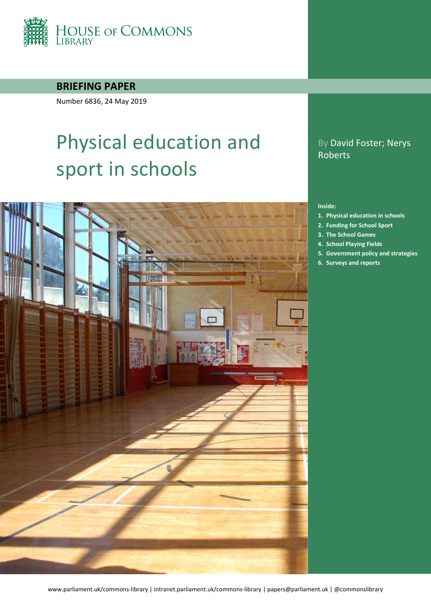

### **BRIEFING PAPER**

Number 6836, 24 May 2019

# Physical education and sport in schools

### By David Foster; Nerys Roberts

#### **Inside:**

- **1. [Physical education in schools](#page-5-0)**
- **2. [Funding for School Sport](#page-10-0)**
- **3. [The School Games](#page-17-0)**
- **4. [School Playing Fields](#page-19-0)**
- **5. [Government policy and strategies](#page-21-0)**
- **6. [Surveys and reports](#page-27-0)**

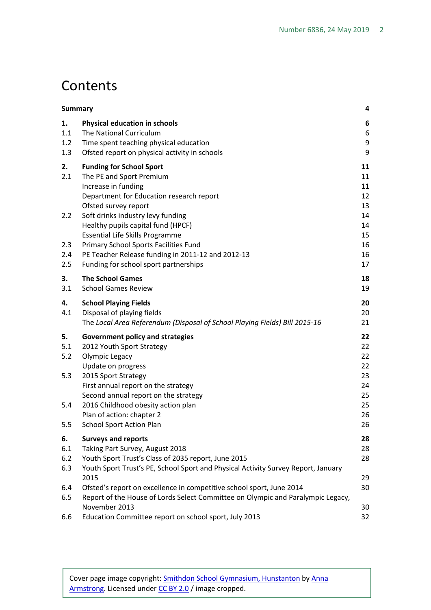# **Contents**

| <b>Summary</b>          |                                                                                                                                                            | 4                |
|-------------------------|------------------------------------------------------------------------------------------------------------------------------------------------------------|------------------|
| 1.<br>1.1<br>1.2<br>1.3 | <b>Physical education in schools</b><br>The National Curriculum<br>Time spent teaching physical education<br>Ofsted report on physical activity in schools | 6<br>6<br>9<br>9 |
|                         |                                                                                                                                                            |                  |
| 2.<br>2.1               | <b>Funding for School Sport</b><br>The PE and Sport Premium                                                                                                | 11<br>11         |
|                         | Increase in funding                                                                                                                                        | 11               |
|                         | Department for Education research report                                                                                                                   | 12               |
|                         | Ofsted survey report                                                                                                                                       | 13               |
| 2.2                     | Soft drinks industry levy funding                                                                                                                          | 14               |
|                         | Healthy pupils capital fund (HPCF)                                                                                                                         | 14               |
|                         | <b>Essential Life Skills Programme</b>                                                                                                                     | 15<br>16         |
| 2.3<br>2.4              | Primary School Sports Facilities Fund<br>PE Teacher Release funding in 2011-12 and 2012-13                                                                 | 16               |
| 2.5                     | Funding for school sport partnerships                                                                                                                      | 17               |
| 3.                      | <b>The School Games</b>                                                                                                                                    | 18               |
| 3.1                     | <b>School Games Review</b>                                                                                                                                 | 19               |
| 4.                      | <b>School Playing Fields</b>                                                                                                                               | 20               |
| 4.1                     | Disposal of playing fields                                                                                                                                 | 20               |
|                         | The Local Area Referendum (Disposal of School Playing Fields) Bill 2015-16                                                                                 | 21               |
| 5.                      | <b>Government policy and strategies</b>                                                                                                                    | 22               |
| 5.1                     | 2012 Youth Sport Strategy                                                                                                                                  | 22               |
| 5.2                     | Olympic Legacy                                                                                                                                             | 22               |
| 5.3                     | Update on progress<br>2015 Sport Strategy                                                                                                                  | 22<br>23         |
|                         | First annual report on the strategy                                                                                                                        | 24               |
|                         | Second annual report on the strategy                                                                                                                       | 25               |
| 5.4                     | 2016 Childhood obesity action plan                                                                                                                         | 25               |
|                         | Plan of action: chapter 2                                                                                                                                  | 26               |
| 5.5                     | <b>School Sport Action Plan</b>                                                                                                                            | 26               |
| 6.                      | <b>Surveys and reports</b>                                                                                                                                 | 28               |
| 6.1                     | Taking Part Survey, August 2018                                                                                                                            | 28               |
| 6.2<br>6.3              | Youth Sport Trust's Class of 2035 report, June 2015<br>Youth Sport Trust's PE, School Sport and Physical Activity Survey Report, January                   | 28               |
|                         | 2015                                                                                                                                                       | 29               |
| 6.4                     | Ofsted's report on excellence in competitive school sport, June 2014                                                                                       | 30               |
| 6.5                     | Report of the House of Lords Select Committee on Olympic and Paralympic Legacy,                                                                            |                  |
|                         | November 2013                                                                                                                                              | 30               |
| 6.6                     | Education Committee report on school sport, July 2013                                                                                                      | 32               |

Cover page image copyright: [Smithdon School Gymnasium, Hunstanton](https://www.flickr.com/photos/french-disko/5543931621/in/photolist-e2V5PL-8ezsSD-9vVRv3-6tqGWo-8eiUPa-4ZaNr6-73GuNs-4zQpZe-aJFhje-72Ksfg-9HfRh6-B9pLt-bAv1X9-rQQsxA-o1WtiH-9rU6HX-sgy2sW-77LD6o-rC2xKV-c96oWN-j3RdS-8eRoWc-r3ngTa-nSShLN-8qrqGZ-6aLfxQ-cHuUGq-c1uMa3-aJFhiM-8p2x1b-6B7Tht-o6MrBj-r8xACi-61cDF-8p2x1G-7mSeZM-8Sw2tr-oa2Eua-72Kwve-qTfRRN-rHa8V-gPR66Y-mdLTPK-xfTiD-9rUzii-dZaVHe-aoSSsK-ryLNi8-nwSbz7-dizEyi) by [Anna](https://www.flickr.com/photos/french-disko/)  [Armstrong.](https://www.flickr.com/photos/french-disko/) Licensed under [CC BY 2.0](https://creativecommons.org/licenses/by-nc-sa/2.0/) / image cropped.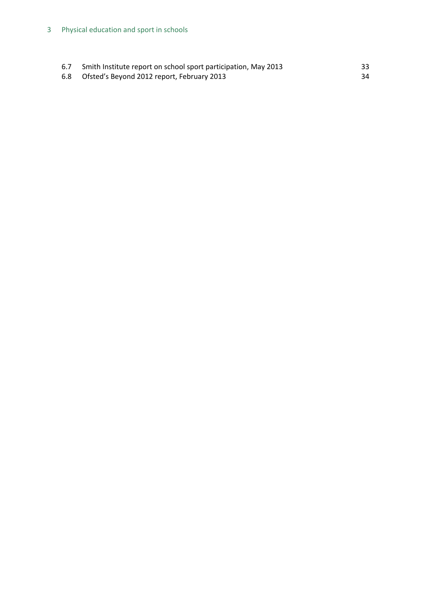| 6.7 | Smith Institute report on school sport participation, May 2013 | 33 |
|-----|----------------------------------------------------------------|----|
| 6.8 | Ofsted's Beyond 2012 report, February 2013                     | 34 |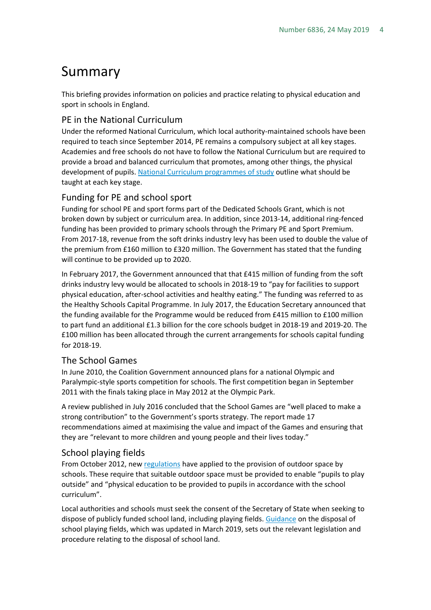# <span id="page-3-0"></span>Summary

This briefing provides information on policies and practice relating to physical education and sport in schools in England.

### PE in the National Curriculum

Under the reformed National Curriculum, which local authority-maintained schools have been required to teach since September 2014, PE remains a compulsory subject at all key stages. Academies and free schools do not have to follow the National Curriculum but are required to provide a broad and balanced curriculum that promotes, among other things, the physical development of pupils[. National Curriculum programmes of study](https://www.gov.uk/government/publications/national-curriculum-in-england-physical-education-programmes-of-study/national-curriculum-in-england-physical-education-programmes-of-study) outline what should be taught at each key stage.

#### Funding for PE and school sport

Funding for school PE and sport forms part of the Dedicated Schools Grant, which is not broken down by subject or curriculum area. In addition, since 2013-14, additional ring-fenced funding has been provided to primary schools through the Primary PE and Sport Premium. From 2017-18, revenue from the soft drinks industry levy has been used to double the value of the premium from £160 million to £320 million. The Government has stated that the funding will continue to be provided up to 2020.

In February 2017, the Government announced that that £415 million of funding from the soft drinks industry levy would be allocated to schools in 2018-19 to "pay for facilities to support physical education, after-school activities and healthy eating." The funding was referred to as the Healthy Schools Capital Programme. In July 2017, the Education Secretary announced that the funding available for the Programme would be reduced from £415 million to £100 million to part fund an additional £1.3 billion for the core schools budget in 2018-19 and 2019-20. The £100 million has been allocated through the current arrangements for schools capital funding for 2018-19.

#### The School Games

In June 2010, the Coalition Government announced plans for a national Olympic and Paralympic-style sports competition for schools. The first competition began in September 2011 with the finals taking place in May 2012 at the Olympic Park.

A review published in July 2016 concluded that the School Games are "well placed to make a strong contribution" to the Government's sports strategy. The report made 17 recommendations aimed at maximising the value and impact of the Games and ensuring that they are "relevant to more children and young people and their lives today."

#### School playing fields

From October 2012, new [regulations](http://www.legislation.gov.uk/uksi/2012/1943/regulation/10/made) have applied to the provision of outdoor space by schools. These require that suitable outdoor space must be provided to enable "pupils to play outside" and "physical education to be provided to pupils in accordance with the school curriculum".

Local authorities and schools must seek the consent of the Secretary of State when seeking to dispose of publicly funded school land, including playing fields. [Guidance](http://www.education.gov.uk/aboutdfe/executiveagencies/efa/schoolscapital/b00230781/land-and-property/sale-school-land-and-protection-of-school-playing-fields) on the disposal of school playing fields, which was updated in March 2019, sets out the relevant legislation and procedure relating to the disposal of school land.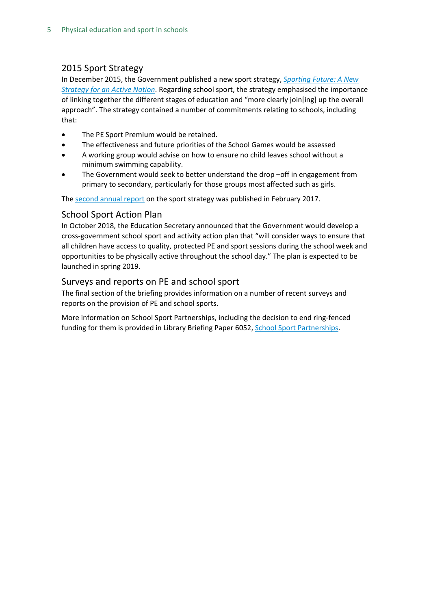### 2015 Sport Strategy

In December 2015, the Government published a new sport strategy, *[Sporting Future: A New](https://www.gov.uk/government/uploads/system/uploads/attachment_data/file/486622/Sporting_Future_ACCESSIBLE.pdf)  [Strategy for an Active Nation](https://www.gov.uk/government/uploads/system/uploads/attachment_data/file/486622/Sporting_Future_ACCESSIBLE.pdf)*. Regarding school sport, the strategy emphasised the importance of linking together the different stages of education and "more clearly join[ing] up the overall approach". The strategy contained a number of commitments relating to schools, including that:

- The PE Sport Premium would be retained.
- The effectiveness and future priorities of the School Games would be assessed
- A working group would advise on how to ensure no child leaves school without a minimum swimming capability.
- The Government would seek to better understand the drop -off in engagement from primary to secondary, particularly for those groups most affected such as girls.

The second [annual report](https://www.gov.uk/government/publications/sporting-future-second-annual-report) on the sport strategy was published in February 2017.

#### School Sport Action Plan

In October 2018, the Education Secretary announced that the Government would develop a cross-government school sport and activity action plan that "will consider ways to ensure that all children have access to quality, protected PE and sport sessions during the school week and opportunities to be physically active throughout the school day." The plan is expected to be launched in spring 2019.

#### Surveys and reports on PE and school sport

The final section of the briefing provides information on a number of recent surveys and reports on the provision of PE and school sports.

More information on School Sport Partnerships, including the decision to end ring-fenced funding for them is provided in Library Briefing Paper 6052, [School Sport Partnerships.](http://researchbriefings.parliament.uk/ResearchBriefing/Summary/SN06052)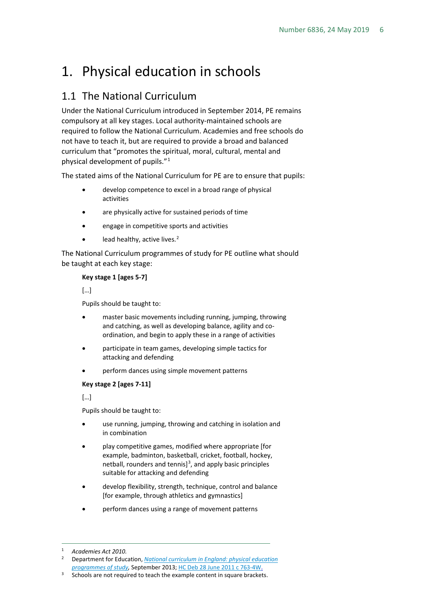# <span id="page-5-0"></span>1. Physical education in schools

### <span id="page-5-1"></span>1.1 The National Curriculum

Under the National Curriculum introduced in September 2014, PE remains compulsory at all key stages. Local authority-maintained schools are required to follow the National Curriculum. Academies and free schools do not have to teach it, but are required to provide a broad and balanced curriculum that "promotes the spiritual, moral, cultural, mental and physical development of pupils."[1](#page-5-2)

The stated aims of the National Curriculum for PE are to ensure that pupils:

- develop competence to excel in a broad range of physical activities
- are physically active for sustained periods of time
- engage in competitive sports and activities
- lead healthy, active lives.<sup>[2](#page-5-3)</sup>

The National Curriculum programmes of study for PE outline what should be taught at each key stage:

#### **Key stage 1 [ages 5-7]**

[…]

Pupils should be taught to:

- master basic movements including running, jumping, throwing and catching, as well as developing balance, agility and coordination, and begin to apply these in a range of activities
- participate in team games, developing simple tactics for attacking and defending
- perform dances using simple movement patterns

**Key stage 2 [ages 7-11]**

[…]

Pupils should be taught to:

- use running, jumping, throwing and catching in isolation and in combination
- play competitive games, modified where appropriate [for example, badminton, basketball, cricket, football, hockey, netball, rounders and tennis]<sup>[3](#page-5-4)</sup>, and apply basic principles suitable for attacking and defending
- develop flexibility, strength, technique, control and balance [for example, through athletics and gymnastics]
- perform dances using a range of movement patterns

<span id="page-5-2"></span> <sup>1</sup> *Academies Act 2010.*

<span id="page-5-3"></span><sup>2</sup> Department for Education, *[National curriculum in England: physical education](https://www.gov.uk/government/publications/national-curriculum-in-england-physical-education-programmes-of-study/national-curriculum-in-england-physical-education-programmes-of-study)*  [programmes of study,](https://www.gov.uk/government/publications/national-curriculum-in-england-physical-education-programmes-of-study/national-curriculum-in-england-physical-education-programmes-of-study) September 2013[; HC Deb 28 June 2011 c 763-4W.](http://www.publications.parliament.uk/pa/cm201011/cmhansrd/cm110628/text/110628w0005.htm#1106295000031)

<span id="page-5-4"></span><sup>&</sup>lt;sup>3</sup> Schools are not required to teach the example content in square brackets.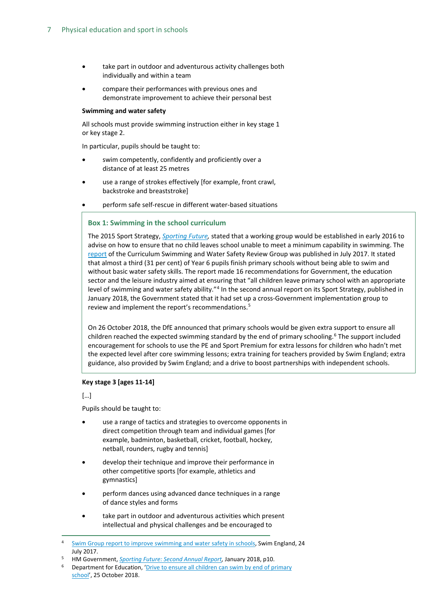- take part in outdoor and adventurous activity challenges both individually and within a team
- compare their performances with previous ones and demonstrate improvement to achieve their personal best

#### **Swimming and water safety**

All schools must provide swimming instruction either in key stage 1 or key stage 2.

In particular, pupils should be taught to:

- swim competently, confidently and proficiently over a distance of at least 25 metres
- use a range of strokes effectively [for example, front crawl, backstroke and breaststroke]
- perform safe self-rescue in different water-based situations

#### **Box 1: Swimming in the school curriculum**

The 2015 Sport Strategy, *[Sporting Future,](https://www.gov.uk/government/publications/sporting-future-a-new-strategy-for-an-active-nation)* stated that a working group would be established in early 2016 to advise on how to ensure that no child leaves school unable to meet a minimum capability in swimming. The [report](http://www.swimming.org/swimengland/curriculum-swimming-report-launch/) of the Curriculum Swimming and Water Safety Review Group was published in July 2017. It stated that almost a third (31 per cent) of Year 6 pupils finish primary schools without being able to swim and without basic water safety skills. The report made 16 recommendations for Government, the education sector and the leisure industry aimed at ensuring that "all children leave primary school with an appropriate level of swimming and water safety ability."<sup>[4](#page-6-0)</sup> In the second annual report on its Sport Strategy, published in January 2018, the Government stated that it had set up a cross-Government implementation group to review and implement the report's recommendations.<sup>[5](#page-6-1)</sup>

On 26 October 2018, the DfE announced that primary schools would be given extra support to ensure all children reached the expected swimming standard by the end of primary schooling.<sup>[6](#page-6-2)</sup> The support included encouragement for schools to use the PE and Sport Premium for extra lessons for children who hadn't met the expected level after core swimming lessons; extra training for teachers provided by Swim England; extra guidance, also provided by Swim England; and a drive to boost partnerships with independent schools.

#### **Key stage 3 [ages 11-14]**

[…]

Pupils should be taught to:

- use a range of tactics and strategies to overcome opponents in direct competition through team and individual games [for example, badminton, basketball, cricket, football, hockey, netball, rounders, rugby and tennis]
- develop their technique and improve their performance in other competitive sports [for example, athletics and gymnastics]
- perform dances using advanced dance techniques in a range of dance styles and forms
- take part in outdoor and adventurous activities which present intellectual and physical challenges and be encouraged to

<span id="page-6-1"></span><sup>5</sup> HM Government, *[Sporting Future: Second Annual Report,](https://assets.publishing.service.gov.uk/government/uploads/system/uploads/attachment_data/file/677557/2018_Second_annual_report_to_parliament_on_Sporting_Future.pdf)* January 2018, p10.

<span id="page-6-0"></span><sup>&</sup>lt;sup>4</sup> [Swim Group report to improve swimming and water safety in schools,](http://www.swimming.org/swimengland/curriculum-swimming-report-launch/) Swim England, 24 July 2017.

<span id="page-6-2"></span><sup>6</sup> Department for Education, ['Drive to ensure all children can swim by end of primary](https://www.gov.uk/government/news/drive-to-ensure-all-children-can-swim-by-end-of-primary-school)  [school'](https://www.gov.uk/government/news/drive-to-ensure-all-children-can-swim-by-end-of-primary-school), 25 October 2018.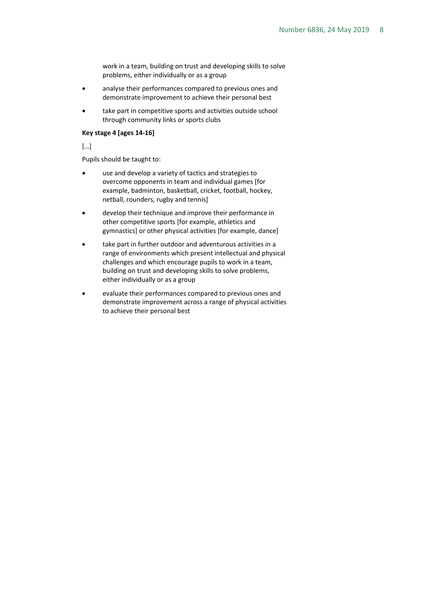work in a team, building on trust and developing skills to solve problems, either individually or as a group

- analyse their performances compared to previous ones and demonstrate improvement to achieve their personal best
- take part in competitive sports and activities outside school through community links or sports clubs

#### **Key stage 4 [ages 14-16]**

[…]

Pupils should be taught to:

- use and develop a variety of tactics and strategies to overcome opponents in team and individual games [for example, badminton, basketball, cricket, football, hockey, netball, rounders, rugby and tennis]
- develop their technique and improve their performance in other competitive sports [for example, athletics and gymnastics] or other physical activities [for example, dance]
- take part in further outdoor and adventurous activities in a range of environments which present intellectual and physical challenges and which encourage pupils to work in a team, building on trust and developing skills to solve problems, either individually or as a group
- evaluate their performances compared to previous ones and demonstrate improvement across a range of physical activities to achieve their personal best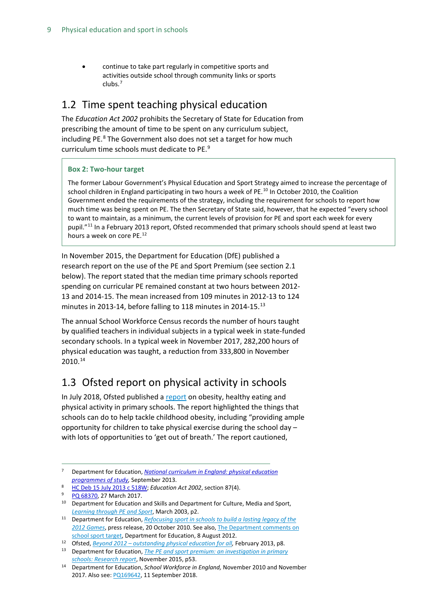• continue to take part regularly in competitive sports and activities outside school through community links or sports clubs. [7](#page-8-2)

### <span id="page-8-0"></span>1.2 Time spent teaching physical education

The *Education Act 2002* prohibits the Secretary of State for Education from prescribing the amount of time to be spent on any curriculum subject, including PE. [8](#page-8-3) The Government also does not set a target for how much curriculum time schools must dedicate to PE.[9](#page-8-4)

#### **Box 2: Two-hour target**

The former Labour Government's Physical Education and Sport Strategy aimed to increase the percentage of school children in England participating in two hours a week of PE.<sup>[10](#page-8-7)</sup> In October 2010, the Coalition Government ended the requirements of the strategy, including the requirement for schools to report how much time was being spent on PE. The then Secretary of State said, however, that he expected "every school to want to maintain, as a minimum, the current levels of provision for PE and sport each week for every pupil."[11](#page-8-8) In a February 2013 report, Ofsted recommended that primary schools should spend at least two hours a week on core PE.[12](#page-8-9)

In November 2015, the Department for Education (DfE) published a research report on the use of the PE and Sport Premium (see section 2.1 below). The report stated that the median time primary schools reported spending on curricular PE remained constant at two hours between 2012- 13 and 2014-15. The mean increased from 109 minutes in 2012-13 to 124 minutes in 20[13](#page-8-5)-14, before falling to 118 minutes in 2014-15.<sup>13</sup>

The annual School Workforce Census records the number of hours taught by qualified teachers in individual subjects in a typical week in state-funded secondary schools. In a typical week in November 2017, 282,200 hours of physical education was taught, a reduction from 333,800 in November 2010.[14](#page-8-6)

### <span id="page-8-1"></span>1.3 Ofsted report on physical activity in schools

In July 2018, Ofsted published a [report](https://www.gov.uk/government/publications/obesity-healthy-eating-and-physical-activity-in-primary-schools) on obesity, healthy eating and physical activity in primary schools. The report highlighted the things that schools can do to help tackle childhood obesity, including "providing ample opportunity for children to take physical exercise during the school day – with lots of opportunities to 'get out of breath.' The report cautioned,

<span id="page-8-2"></span> <sup>7</sup> Department for Education, *[National curriculum in England: physical education](https://www.gov.uk/government/publications/national-curriculum-in-england-physical-education-programmes-of-study/national-curriculum-in-england-physical-education-programmes-of-study)  [programmes of study,](https://www.gov.uk/government/publications/national-curriculum-in-england-physical-education-programmes-of-study/national-curriculum-in-england-physical-education-programmes-of-study)* September 2013.

<span id="page-8-3"></span><sup>8</sup> HC Deb 15 July 2013 c 518W; *Education Act 2002*, section 87(4). 9 [PQ 68370,](http://www.parliament.uk/written-questions-answers-statements/written-question/commons/2017-03-17/68370) 27 March 2017.

<span id="page-8-7"></span><span id="page-8-4"></span><sup>&</sup>lt;sup>10</sup> Department for Education and Skills and Department for Culture, Media and Sport, *[Learning through PE and Sport](https://www.education.gov.uk/publications/eOrderingDownload/LTPES.pdf.pdf)*, March 2003, p2.

<span id="page-8-8"></span><sup>11</sup> Department for Education, *[Refocusing sport in schools to build a lasting legacy of the](http://www.education.gov.uk/inthenews/inthenews/a0065473/refocusing-sport-in-schools-to-build-a-lasting-legacy-of-the-2012-games)  [2012 Games](http://www.education.gov.uk/inthenews/inthenews/a0065473/refocusing-sport-in-schools-to-build-a-lasting-legacy-of-the-2012-games)*, press release, 20 October 2010. See also, [The Department comments on](https://www.gov.uk/government/news/the-department-comments-on-school-sport-target)  [school sport target,](https://www.gov.uk/government/news/the-department-comments-on-school-sport-target) Department for Education, 8 August 2012.

<span id="page-8-9"></span><sup>12</sup> Ofsted, *Beyond 2012 – [outstanding physical education for all,](https://www.gov.uk/government/uploads/system/uploads/attachment_data/file/413187/Beyond_2012_-_outstanding_physical_education_for_all.pdf)* February 2013, p8.

<span id="page-8-5"></span><sup>13</sup> Department for Education, *[The PE and sport premium: an investigation](https://www.gov.uk/government/uploads/system/uploads/attachment_data/file/489477/DFE-RR489_PE_and_sport_premium_an_investigation_in_primary_schools_-_final_report.pdf) in primary [schools: Research report](https://www.gov.uk/government/uploads/system/uploads/attachment_data/file/489477/DFE-RR489_PE_and_sport_premium_an_investigation_in_primary_schools_-_final_report.pdf)*, November 2015, p53.

<span id="page-8-6"></span><sup>14</sup> Department for Education, *School Workforce in England,* November 2010 and November 2017. Also see[: PQ169642,](https://www.parliament.uk/written-questions-answers-statements/written-question/commons/2018-09-03/169642) 11 September 2018.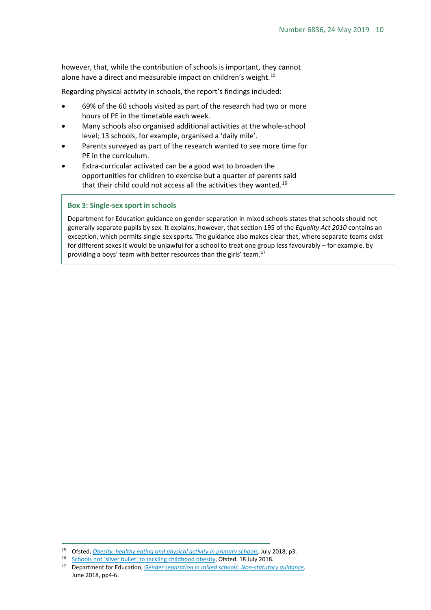however, that, while the contribution of schools is important, they cannot alone have a direct and measurable impact on children's weight.<sup>[15](#page-9-0)</sup>

Regarding physical activity in schools, the report's findings included:

- 69% of the 60 schools visited as part of the research had two or more hours of PE in the timetable each week.
- Many schools also organised additional activities at the whole-school level; 13 schools, for example, organised a 'daily mile'.
- Parents surveyed as part of the research wanted to see more time for PE in the curriculum.
- Extra-curricular activated can be a good wat to broaden the opportunities for children to exercise but a quarter of parents said that their child could not access all the activities they wanted.<sup>[16](#page-9-1)</sup>

#### **Box 3: Single-sex sport in schools**

Department for Education guidance on gender separation in mixed schools states that schools should not generally separate pupils by sex. It explains, however, that section 195 of the *Equality Act 2010* contains an exception, which permits single-sex sports. The guidance also makes clear that, where separate teams exist for different sexes it would be unlawful for a school to treat one group less favourably – for example, by providing a boys' team with better resources than the girls' team.[17](#page-9-2)

<span id="page-9-0"></span><sup>&</sup>lt;sup>15</sup> Ofsted, *[Obesity, healthy eating and physical activity in primary schools,](https://assets.publishing.service.gov.uk/government/uploads/system/uploads/attachment_data/file/726114/Obesity__healthy_eating_and_physical_activity_in_primary_schools_170718.pdf) July 2018, p3.* 

<span id="page-9-2"></span><span id="page-9-1"></span><sup>16</sup> [Schools not 'silver bullet' to tackling childhood obesity,](https://www.gov.uk/government/news/schools-not-silver-bullet-to-tackling-childhood-obesity?utm_source=58fd6ba0-4a25-499e-85e5-f4b7102dcca0&utm_medium=email&utm_campaign=govuk-notifications&utm_content=immediate) Ofsted. 18 July 2018.

<sup>17</sup> Department for Education, *[Gender separation in mixed schools: Non-statutory guidance,](https://assets.publishing.service.gov.uk/government/uploads/system/uploads/attachment_data/file/719398/Gender-separation-guidance.pdf)*  June 2018, pp4-6.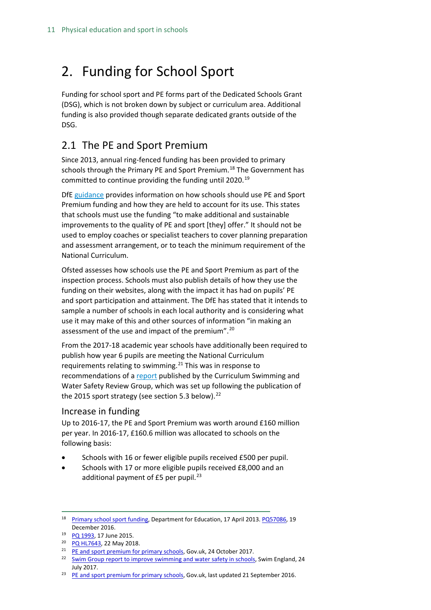# <span id="page-10-0"></span>2. Funding for School Sport

Funding for school sport and PE forms part of the Dedicated Schools Grant (DSG), which is not broken down by subject or curriculum area. Additional funding is also provided though separate dedicated grants outside of the DSG.

### <span id="page-10-1"></span>2.1 The PE and Sport Premium

Since 2013, annual ring-fenced funding has been provided to primary schools through the Primary PE and Sport Premium.<sup>[18](#page-10-3)</sup> The Government has committed to continue providing the funding until 2020.<sup>[19](#page-10-4)</sup>

DfE [guidance](https://www.gov.uk/guidance/pe-and-sport-premium-for-primary-schools#how-to-use-the-pe-and-sport-premium) provides information on how schools should use PE and Sport Premium funding and how they are held to account for its use. This states that schools must use the funding "to make additional and sustainable improvements to the quality of PE and sport [they] offer." It should not be used to employ coaches or specialist teachers to cover planning preparation and assessment arrangement, or to teach the minimum requirement of the National Curriculum.

Ofsted assesses how schools use the PE and Sport Premium as part of the inspection process. Schools must also publish details of how they use the funding on their websites, along with the impact it has had on pupils' PE and sport participation and attainment. The DfE has stated that it intends to sample a number of schools in each local authority and is considering what use it may make of this and other sources of information "in making an assessment of the use and impact of the premium".[20](#page-10-5)

From the 2017-18 academic year schools have additionally been required to publish how year 6 pupils are meeting the National Curriculum requirements relating to swimming.<sup>[21](#page-10-6)</sup> This was in response to recommendations of [a report](http://www.swimming.org/swimengland/curriculum-swimming-report-launch/) published by the Curriculum Swimming and Water Safety Review Group, which was set up following the publication of the 2015 sport strategy (see section 5.3 below).<sup>[22](#page-10-7)</sup>

### <span id="page-10-2"></span>Increase in funding

Up to 2016-17, the PE and Sport Premium was worth around £160 million per year. In 2016-17, £160.6 million was allocated to schools on the following basis:

- Schools with 16 or fewer eligible pupils received £500 per pupil.
- Schools with 17 or more eligible pupils received £8,000 and an additional payment of  $E5$  per pupil.<sup>[23](#page-10-8)</sup>

<span id="page-10-3"></span><sup>&</sup>lt;sup>18</sup> [Primary school sport funding,](http://webarchive.nationalarchives.gov.uk/20130423140808/http:/www.education.gov.uk/schools/adminandfinance/financialmanagement/b00222858/primary-school-sport-funding) Department for Education, 17 April 2013[. PQ57086,](http://www.parliament.uk/written-questions-answers-statements/written-question/commons/2016-12-12/57086) 19 December 2016.

<span id="page-10-4"></span><sup>19</sup> PQ [1993,](http://www.parliament.uk/written-questions-answers-statements/written-question/commons/2015-06-10/1993) 17 June 2015.

<span id="page-10-5"></span><sup>20</sup> [PQ HL7643,](https://www.parliament.uk/written-questions-answers-statements/written-question/lords/2018-05-08/HL7643) 22 May 2018.

<span id="page-10-6"></span><sup>&</sup>lt;sup>21</sup> [PE and sport premium for primary schools,](https://www.gov.uk/guidance/pe-and-sport-premium-for-primary-schools#how-to-use-the-pe-and-sport-premium) Gov.uk, 24 October 2017.

<span id="page-10-7"></span><sup>&</sup>lt;sup>22</sup> [Swim Group report to improve swimming and water safety in schools,](http://www.swimming.org/swimengland/curriculum-swimming-report-launch/) Swim England, 24 July 2017.

<span id="page-10-8"></span><sup>&</sup>lt;sup>23</sup> [PE and sport premium for primary schools,](https://www.gov.uk/guidance/pe-and-sport-premium-for-primary-schools) Gov.uk, last updated 21 September 2016.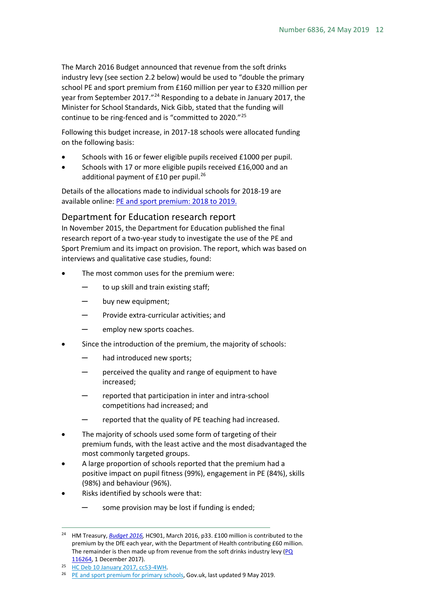The March 2016 Budget announced that revenue from the soft drinks industry levy (see section 2.2 below) would be used to "double the primary school PE and sport premium from £160 million per year to £320 million per year from September 2017."[24](#page-11-1) Responding to a debate in January 2017, the Minister for School Standards, Nick Gibb, stated that the funding will continue to be ring-fenced and is "committed to 2020."[25](#page-11-2)

Following this budget increase, in 2017-18 schools were allocated funding on the following basis:

- Schools with 16 or fewer eligible pupils received £1000 per pupil.
- Schools with 17 or more eligible pupils received £16,000 and an additional payment of  $£10$  per pupil.<sup>[26](#page-11-3)</sup>

Details of the allocations made to individual schools for 2018-19 are available online: PE and sport [premium:](https://skillsfunding.service.gov.uk/pe-sport-premium/2018-2019) 2018 to 2019.

#### <span id="page-11-0"></span>Department for Education research report

In November 2015, the Department for Education published the final research report of a two-year study to investigate the use of the PE and Sport Premium and its impact on provision. The report, which was based on interviews and qualitative case studies, found:

- The most common uses for the premium were:
	- to up skill and train existing staff;
	- buy new equipment;
	- Provide extra-curricular activities; and
	- employ new sports coaches.
- Since the introduction of the premium, the majority of schools:
	- had introduced new sports;
	- perceived the quality and range of equipment to have increased;
	- reported that participation in inter and intra-school competitions had increased; and
	- reported that the quality of PE teaching had increased.
- The majority of schools used some form of targeting of their premium funds, with the least active and the most disadvantaged the most commonly targeted groups.
- A large proportion of schools reported that the premium had a positive impact on pupil fitness (99%), engagement in PE (84%), skills (98%) and behaviour (96%).
- Risks identified by schools were that:
	- some provision may be lost if funding is ended;

<span id="page-11-1"></span><sup>&</sup>lt;sup>24</sup> HM Treasury, *Budget 2016*, HC901, March 2016, p33. £100 million is contributed to the premium by the DfE each year, with the Department of Health contributing £60 million. The remainder is then made up from revenue from the soft drinks industry levy (PQ [116264,](https://www.parliament.uk/written-questions-answers-statements/written-question/commons/2017-11-28/116264) 1 December 2017).

<span id="page-11-2"></span><sup>25</sup> [HC Deb 10 January 2017, cc53-4WH.](https://hansard.parliament.uk/Commons/2017-01-10/debates/F4C74DF2-118E-4C00-A880-D601A25D2081/SoftDrinksIndustryLevyFundingForSportInSchools#contribution-4ED7E474-8ED5-4F70-BAEB-DA999DD7832C)

<span id="page-11-3"></span><sup>&</sup>lt;sup>26</sup> [PE and sport premium for primary schools,](https://www.gov.uk/guidance/pe-and-sport-premium-for-primary-schools#funding-for-2017-to-2018) Gov.uk, last updated 9 May 2019.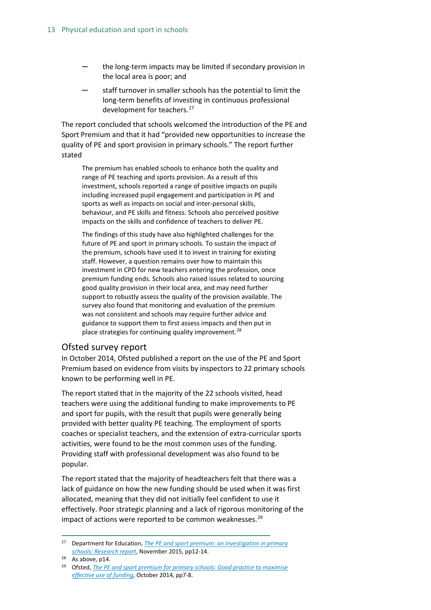- the long-term impacts may be limited if secondary provision in the local area is poor; and
- staff turnover in smaller schools has the potential to limit the long-term benefits of investing in continuous professional development for teachers.<sup>[27](#page-12-1)</sup>

The report concluded that schools welcomed the introduction of the PE and Sport Premium and that it had "provided new opportunities to increase the quality of PE and sport provision in primary schools." The report further stated

The premium has enabled schools to enhance both the quality and range of PE teaching and sports provision. As a result of this investment, schools reported a range of positive impacts on pupils including increased pupil engagement and participation in PE and sports as well as impacts on social and inter-personal skills, behaviour, and PE skills and fitness. Schools also perceived positive impacts on the skills and confidence of teachers to deliver PE.

The findings of this study have also highlighted challenges for the future of PE and sport in primary schools. To sustain the impact of the premium, schools have used it to invest in training for existing staff. However, a question remains over how to maintain this investment in CPD for new teachers entering the profession, once premium funding ends. Schools also raised issues related to sourcing good quality provision in their local area, and may need further support to robustly assess the quality of the provision available. The survey also found that monitoring and evaluation of the premium was not consistent and schools may require further advice and guidance to support them to first assess impacts and then put in place strategies for continuing quality improvement.<sup>[28](#page-12-2)</sup>

#### <span id="page-12-0"></span>Ofsted survey report

In October 2014, Ofsted published a report on the use of the PE and Sport Premium based on evidence from visits by inspectors to 22 primary schools known to be performing well in PE.

The report stated that in the majority of the 22 schools visited, head teachers were using the additional funding to make improvements to PE and sport for pupils, with the result that pupils were generally being provided with better quality PE teaching. The employment of sports coaches or specialist teachers, and the extension of extra-curricular sports activities, were found to be the most common uses of the funding. Providing staff with professional development was also found to be popular.

The report stated that the majority of headteachers felt that there was a lack of guidance on how the new funding should be used when it was first allocated, meaning that they did not initially feel confident to use it effectively. Poor strategic planning and a lack of rigorous monitoring of the impact of actions were reported to be common weaknesses. $^{29}$  $^{29}$  $^{29}$ 

<span id="page-12-1"></span> <sup>27</sup> Department for Education, *[The PE and sport premium: an investigation in primary](https://www.gov.uk/government/uploads/system/uploads/attachment_data/file/489477/DFE-RR489_PE_and_sport_premium_an_investigation_in_primary_schools_-_final_report.pdf)  [schools: Research report](https://www.gov.uk/government/uploads/system/uploads/attachment_data/file/489477/DFE-RR489_PE_and_sport_premium_an_investigation_in_primary_schools_-_final_report.pdf)*, November 2015, pp12-14.

<span id="page-12-2"></span> $28$  As above, p14.

<span id="page-12-3"></span><sup>29</sup> Ofsted, *[The PE and sport premium for primary schools: Good practice to maximise](https://www.gov.uk/government/uploads/system/uploads/attachment_data/file/379202/The_20PE_20and_20sport_20premium_20for_20primary_20schools.pdf)  [effective use of funding,](https://www.gov.uk/government/uploads/system/uploads/attachment_data/file/379202/The_20PE_20and_20sport_20premium_20for_20primary_20schools.pdf)* October 2014, pp7-8.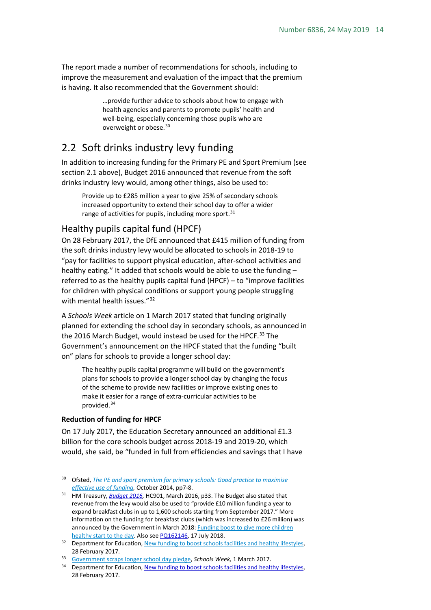The report made a number of recommendations for schools, including to improve the measurement and evaluation of the impact that the premium is having. It also recommended that the Government should:

> …provide further advice to schools about how to engage with health agencies and parents to promote pupils' health and well-being, especially concerning those pupils who are overweight or obese[.30](#page-13-2)

### <span id="page-13-0"></span>2.2 Soft drinks industry levy funding

In addition to increasing funding for the Primary PE and Sport Premium (see section 2.1 above), Budget 2016 announced that revenue from the soft drinks industry levy would, among other things, also be used to:

Provide up to £285 million a year to give 25% of secondary schools increased opportunity to extend their school day to offer a wider range of activities for pupils, including more sport.<sup>[31](#page-13-3)</sup>

#### <span id="page-13-1"></span>Healthy pupils capital fund (HPCF)

On 28 February 2017, the DfE announced that £415 million of funding from the soft drinks industry levy would be allocated to schools in 2018-19 to "pay for facilities to support physical education, after-school activities and healthy eating." It added that schools would be able to use the funding – referred to as the healthy pupils capital fund (HPCF) – to "improve facilities for children with physical conditions or support young people struggling with mental health issues."<sup>[32](#page-13-4)</sup>

A *Schools Week* article on 1 March 2017 stated that funding originally planned for extending the school day in secondary schools, as announced in the 2016 March Budget, would instead be used for the HPCF.<sup>[33](#page-13-5)</sup> The Government's announcement on the HPCF stated that the funding "built on" plans for schools to provide a longer school day:

The healthy pupils capital programme will build on the government's plans for schools to provide a longer school day by changing the focus of the scheme to provide new facilities or improve existing ones to make it easier for a range of extra-curricular activities to be provided.[34](#page-13-6)

#### **Reduction of funding for HPCF**

On 17 July 2017, the Education Secretary announced an additional £1.3 billion for the core schools budget across 2018-19 and 2019-20, which would, she said, be "funded in full from efficiencies and savings that I have

<span id="page-13-2"></span> <sup>30</sup> Ofsted, *[The PE and sport premium for primary schools: Good practice to maximise](https://www.gov.uk/government/uploads/system/uploads/attachment_data/file/379202/The_20PE_20and_20sport_20premium_20for_20primary_20schools.pdf)  [effective use of funding,](https://www.gov.uk/government/uploads/system/uploads/attachment_data/file/379202/The_20PE_20and_20sport_20premium_20for_20primary_20schools.pdf)* October 2014, pp7-8.

<span id="page-13-3"></span><sup>&</sup>lt;sup>31</sup> HM Treasury, *Budget 2016*, HC901, March 2016, p33. The Budget also stated that revenue from the levy would also be used to "provide £10 million funding a year to expand breakfast clubs in up to 1,600 schools starting from September 2017." More information on the funding for breakfast clubs (which was increased to £26 million) was announced by the Government in March 2018: Funding boost to give more children [healthy start to the day.](https://www.gov.uk/government/news/funding-boost-to-give-more-children-healthy-start-to-the-day) Also se[e PQ162146,](https://www.parliament.uk/written-questions-answers-statements/written-question/commons/2018-07-09/162146) 17 July 2018.<br><sup>32</sup> Department for Education, New funding to boost schools facilities and healthy lifestyles,

<span id="page-13-4"></span><sup>28</sup> February 2017.

<span id="page-13-5"></span><sup>33</sup> [Government scraps longer school day pledge,](http://schoolsweek.co.uk/government-scraps-longer-school-day-pledge/) *Schools Week,* 1 March 2017.

<span id="page-13-6"></span><sup>&</sup>lt;sup>34</sup> Department for Education, New funding to boost schools facilities and healthy lifestyles, 28 February 2017.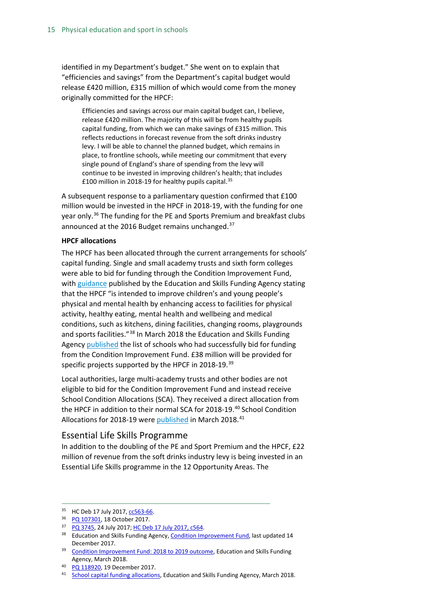identified in my Department's budget." She went on to explain that "efficiencies and savings" from the Department's capital budget would release £420 million, £315 million of which would come from the money originally committed for the HPCF:

Efficiencies and savings across our main capital budget can, I believe, release £420 million. The majority of this will be from healthy pupils capital funding, from which we can make savings of £315 million. This reflects reductions in forecast revenue from the soft drinks industry levy. I will be able to channel the planned budget, which remains in place, to frontline schools, while meeting our commitment that every single pound of England's share of spending from the levy will continue to be invested in improving children's health; that includes £100 million in 2018-19 for healthy pupils capital.[35](#page-14-1)

A [subsequent](http://www.parliament.uk/written-questions-answers-statements/written-question/commons/2017-07-18/5924) response to a parliamentary question confirmed that £100 million would be invested in the HPCF in 2018-19, with the funding for one year only.<sup>[36](#page-14-2)</sup> The funding for the PE and Sports Premium and breakfast clubs announced at the 2016 Budget remains unchanged.<sup>[37](#page-14-3)</sup>

#### **HPCF allocations**

The HPCF has been allocated through the current arrangements for schools' capital funding. Single and small academy trusts and sixth form colleges were able to bid for funding through the Condition Improvement Fund, with [guidance](https://www.gov.uk/guidance/condition-improvement-fund#cif-applications-for-2018-to-2019) published by the Education and Skills Funding Agency stating that the HPCF "is intended to improve children's and young people's physical and mental health by enhancing access to facilities for physical activity, healthy eating, mental health and wellbeing and medical conditions, such as kitchens, dining facilities, changing rooms, playgrounds and sports facilities."[38](#page-14-4) In March 2018 the Education and Skills Funding Agency [published](https://www.gov.uk/government/publications/condition-improvement-fund-2018-to-2019-outcome) the list of schools who had successfully bid for funding from the Condition Improvement Fund. £38 million will be provided for specific projects supported by the HPCF in 2018-19.<sup>[39](#page-14-5)</sup>

Local authorities, large multi-academy trusts and other bodies are not eligible to bid for the Condition Improvement Fund and instead receive School Condition Allocations (SCA). They received a direct allocation from the HPCF in addition to their normal SCA for 2018-19. [40](#page-14-6) School Condition Allocations for 2018-19 were **published** in March 2018.<sup>[41](#page-14-7)</sup>

#### <span id="page-14-0"></span>Essential Life Skills Programme

In addition to the doubling of the PE and Sport Premium and the HPCF, £22 million of revenue from the soft drinks industry levy is being invested in an Essential Life Skills programme in the 12 Opportunity Areas. The

<span id="page-14-1"></span><sup>35</sup> HC Deb 17 July 2017, [cc563-66.](http://hansard.parliament.uk/commons/2017-07-17/debates/5177EE31-DB66-4CCE-98FC-04A0B8183C8D/SchoolsUpdate)

<span id="page-14-3"></span><span id="page-14-2"></span><sup>36</sup> [PQ 107301,](http://www.parliament.uk/written-questions-answers-statements/written-question/commons/2017-10-11/107301) 18 October 2017.

<sup>37</sup> [PQ 3745,](http://www.parliament.uk/written-questions-answers-statements/written-question/commons/2017-07-10/3745) 24 July 2017[; HC Deb 17 July 2017, c564.](http://hansard.parliament.uk/commons/2017-07-17/debates/5177EE31-DB66-4CCE-98FC-04A0B8183C8D/SchoolsUpdate#contribution-0DAFA6D8-0C2E-40B4-AA90-B117C50939E1)

<span id="page-14-4"></span><sup>&</sup>lt;sup>38</sup> Education and Skills Funding Agency, [Condition Improvement Fund,](https://www.gov.uk/guidance/condition-improvement-fund#cif-applications-for-2018-to-2019) last updated 14 December 2017.

<span id="page-14-5"></span><sup>&</sup>lt;sup>39</sup> [Condition Improvement Fund: 2018 to 2019 outcome,](https://www.gov.uk/government/publications/condition-improvement-fund-2018-to-2019-outcome) Education and Skills Funding Agency, March 2018.

<span id="page-14-6"></span><sup>40</sup> [PQ 118920,](http://www.parliament.uk/written-questions-answers-statements/written-question/commons/2017-12-12/118920) 19 December 2017.

<span id="page-14-7"></span><sup>41</sup> [School capital funding allocations,](https://webarchive.nationalarchives.gov.uk/20190302155604/https:/www.gov.uk/government/publications/capital-allocations) Education and Skills Funding Agency, March 2018.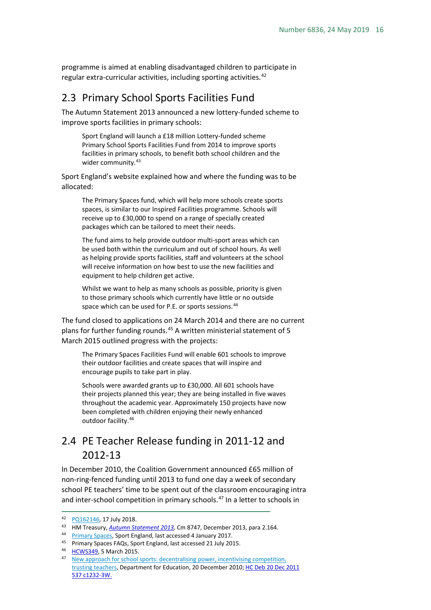programme is aimed at enabling disadvantaged children to participate in regular extra-curricular activities, including sporting activities.  $42$ 

### <span id="page-15-0"></span>2.3 Primary School Sports Facilities Fund

The Autumn Statement 2013 announced a new lottery-funded scheme to improve sports facilities in primary schools:

Sport England will launch a £18 million Lottery-funded scheme Primary School Sports Facilities Fund from 2014 to improve sports facilities in primary schools, to benefit both school children and the wider community.<sup>[43](#page-15-3)</sup>

Sport England's website explained how and where the funding was to be allocated:

The Primary Spaces fund, which will help more schools create sports spaces, is similar to our Inspired Facilities programme. Schools will receive up to £30,000 to spend on a range of specially created packages which can be tailored to meet their needs.

The fund aims to help provide outdoor multi-sport areas which can be used both within the curriculum and out of school hours. As well as helping provide sports facilities, staff and volunteers at the school will receive information on how best to use the new facilities and equipment to help children get active.

Whilst we want to help as many schools as possible, priority is given to those primary schools which currently have little or no outside space which can be used for P.E. or sports sessions.<sup>[44](#page-15-4)</sup>

The fund closed to applications on 24 March 2014 and there are no current plans for further funding rounds.<sup>[45](#page-15-5)</sup> A written ministerial statement of 5 March 2015 outlined progress with the projects:

The Primary Spaces Facilities Fund will enable 601 schools to improve their outdoor facilities and create spaces that will inspire and encourage pupils to take part in play.

Schools were awarded grants up to £30,000. All 601 schools have their projects planned this year; they are being installed in five waves throughout the academic year. Approximately 150 projects have now been completed with children enjoying their newly enhanced outdoor facility.<sup>[46](#page-15-6)</sup>

### <span id="page-15-1"></span>2.4 PE Teacher Release funding in 2011-12 and 2012-13

In December 2010, the Coalition Government announced £65 million of non-ring-fenced funding until 2013 to fund one day a week of secondary school PE teachers' time to be spent out of the classroom encouraging intra and inter-school competition in primary schools.<sup>[47](#page-15-7)</sup> In a letter to schools in

<span id="page-15-3"></span><span id="page-15-2"></span><sup>42</sup> [PQ162146,](https://www.parliament.uk/written-questions-answers-statements/written-question/commons/2018-07-09/162146) 17 July 2018. 43 HM Treasury, *[Autumn Statement 2013,](https://www.gov.uk/government/uploads/system/uploads/attachment_data/file/263942/35062_Autumn_Statement_2013.pdf)* Cm 8747, December 2013, para 2.164.

<span id="page-15-4"></span><sup>44</sup> [Primary Spaces,](http://funding.sportengland.org/funding/our-different-funds/primary-spaces) Sport England, last accessed 4 January 2017.

<span id="page-15-5"></span><sup>45</sup> Primary Spaces FAQs, Sport England, last accessed 21 July 2015.

<span id="page-15-6"></span><sup>46</sup> [HCWS349,](http://www.parliament.uk/business/publications/written-questions-answers-statements/written-statement/Commons/2015-03-05/HCWS349/) 5 March 2015.

<span id="page-15-7"></span><sup>&</sup>lt;sup>47</sup> New approach for school sports: decentralising power, incentivising competition, [trusting teachers,](https://www.gov.uk/government/news/new-approach-for-school-sports-decentralising-power-incentivising-competition-trusting-teachers) Department for Education, 20 December 2010[; HC Deb 20 Dec 2011](http://www.publications.parliament.uk/pa/cm201011/cmhansrd/cm111220/text/111220w0006.htm#1112215000035)  [537 c1232-3W.](http://www.publications.parliament.uk/pa/cm201011/cmhansrd/cm111220/text/111220w0006.htm#1112215000035)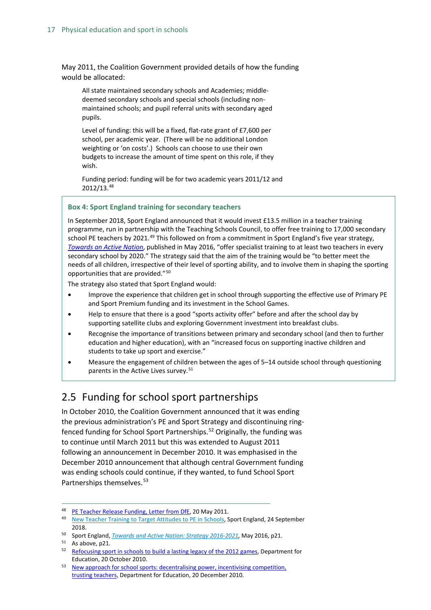May 2011, the Coalition Government provided details of how the funding would be allocated:

All state maintained secondary schools and Academies; middledeemed secondary schools and special schools (including nonmaintained schools; and pupil referral units with secondary aged pupils.

Level of funding: this will be a fixed, flat-rate grant of £7,600 per school, per academic year. (There will be no additional London weighting or 'on costs'.) Schools can choose to use their own budgets to increase the amount of time spent on this role, if they wish.

Funding period: funding will be for two academic years 2011/12 and 2012/13.[48](#page-16-1)

#### **Box 4: Sport England training for secondary teachers**

In September 2018, Sport England announced that it would invest £13.5 million in a teacher training programme, run in partnership with the Teaching Schools Council, to offer free training to 17,000 secondary school PE teachers by 2021.<sup>[49](#page-16-4)</sup> This followed on from a commitment in Sport England's five year strategy, *[Towards an Active Nation](https://www.sportengland.org/media/10629/sport-england-towards-an-active-nation.pdf)*, published in May 2016, "offer specialist training to at least two teachers in every secondary school by 2020." The strategy said that the aim of the training would be "to better meet the needs of all children, irrespective of their level of sporting ability, and to involve them in shaping the sporting opportunities that are provided."[50](#page-16-5)

The strategy also stated that Sport England would:

- Improve the experience that children get in school through supporting the effective use of Primary PE and Sport Premium funding and its investment in the School Games.
- Help to ensure that there is a good "sports activity offer" before and after the school day by supporting satellite clubs and exploring Government investment into breakfast clubs.
- Recognise the importance of transitions between primary and secondary school (and then to further education and higher education), with an "increased focus on supporting inactive children and students to take up sport and exercise."
- Measure the engagement of children between the ages of 5–14 outside school through questioning parents in the Active Lives survey.<sup>[51](#page-16-6)</sup>

### <span id="page-16-0"></span>2.5 Funding for school sport partnerships

In October 2010, the Coalition Government announced that it was ending the previous administration's PE and Sport Strategy and discontinuing ring-fenced funding for School Sport Partnerships.<sup>[52](#page-16-2)</sup> Originally, the funding was to continue until March 2011 but this was extended to August 2011 following an announcement in December 2010. It was emphasised in the December 2010 announcement that although central Government funding was ending schools could continue, if they wanted, to fund School Sport Partnerships themselves.<sup>[53](#page-16-3)</sup>

<sup>48</sup> [PE Teacher Release Funding, Letter from DfE,](http://www.afpe.org.uk/images/stories/PE_Teacher_Release_Funding.doc) 20 May 2011.

<span id="page-16-4"></span><span id="page-16-1"></span><sup>&</sup>lt;sup>49</sup> New Teacher Training to [Target Attitudes to PE in Schools,](https://www.sportengland.org/news-and-features/news/2018/september/24/major-teacher-training-project-targets-improving-attitude-to-physical-education-in-schools/) Sport England, 24 September 2018.

<span id="page-16-5"></span><sup>50</sup> Sport England, *[Towards and Active Nation: Strategy 2016-2021,](https://www.sportengland.org/media/10629/sport-england-towards-an-active-nation.pdf)* May 2016, p21.

<span id="page-16-6"></span><sup>51</sup> As above, p21.

<span id="page-16-2"></span><sup>&</sup>lt;sup>52</sup> [Refocusing sport in schools to build a lasting legacy of the 2012 games,](https://www.gov.uk/government/publications/refocusing-sport-in-schools-to-build-a-lasting-legacy-of-the-2012-games) Department for Education, 20 October 2010.

<span id="page-16-3"></span><sup>53</sup> [New approach for school sports: decentralising power, incentivising competition,](https://www.gov.uk/government/news/new-approach-for-school-sports-decentralising-power-incentivising-competition-trusting-teachers)  [trusting teachers,](https://www.gov.uk/government/news/new-approach-for-school-sports-decentralising-power-incentivising-competition-trusting-teachers) Department for Education, 20 December 2010.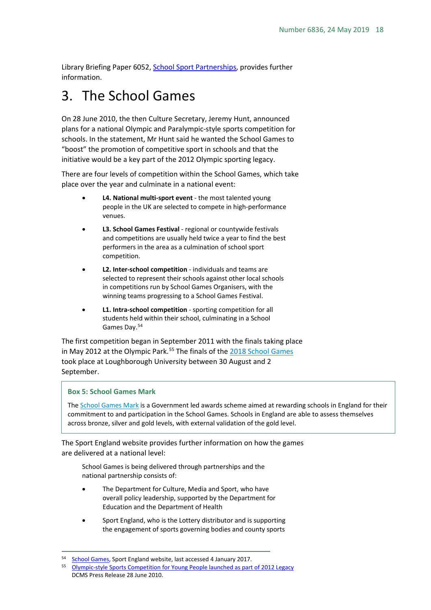Library Briefing Paper 6052[, School Sport Partnerships,](http://researchbriefings.files.parliament.uk/documents/SN06052/SN06052.pdf) provides further information.

# <span id="page-17-0"></span>3. The School Games

On 28 June 2010, the then Culture Secretary, Jeremy Hunt, announced plans for a national Olympic and Paralympic-style sports competition for schools. In the statement, Mr Hunt said he wanted the School Games to "boost" the promotion of competitive sport in schools and that the initiative would be a key part of the 2012 Olympic sporting legacy.

There are four levels of competition within the School Games, which take place over the year and culminate in a national event:

- **L4. National multi-sport event** the most talented young people in the UK are selected to compete in high-performance venues.
- **L3. School Games Festival** regional or countywide festivals and competitions are usually held twice a year to find the best performers in the area as a culmination of school sport competition.
- **L2. Inter-school competition**  individuals and teams are selected to represent their schools against other local schools in competitions run by School Games Organisers, with the winning teams progressing to a School Games Festival.
- **L1. Intra-school competition**  sporting competition for all students held within their school, culminating in a School Games Day[.54](#page-17-1)

The first competition began in September 2011 with the finals taking place in May 2012 at the Olympic Park.<sup>[55](#page-17-2)</sup> The finals of the 2018 [School Games](https://www.schoolgamesfinals.org/) took place at Loughborough University between 30 August and 2 September.

#### **Box 5: School Games Mark**

The [School Games Mark](https://www.yourschoolgames.com/your_school/sainsburys-school-games-mark) is a Government led awards scheme aimed at rewarding schools in England for their commitment to and participation in the School Games. Schools in England are able to assess themselves across bronze, silver and gold levels, with external validation of the gold level.

The Sport England website provides further information on how the games are delivered at a national level:

School Games is being delivered through partnerships and the national partnership consists of:

- The Department for Culture, Media and Sport, who have overall policy leadership, supported by the Department for Education and the Department of Health
- Sport England, who is the Lottery distributor and is supporting the engagement of sports governing bodies and county sports

<span id="page-17-1"></span><sup>54</sup> [School Games,](https://www.sportengland.org/our-work/children-and-young-people/school-games/) Sport England website, last accessed 4 January 2017.

<span id="page-17-2"></span><sup>55</sup> [Olympic-style Sports Competition for Young People launched as part of 2012 Legacy](http://www.culture.gov.uk/news/media_releases/7203.aspx) DCMS Press Release 28 June 2010.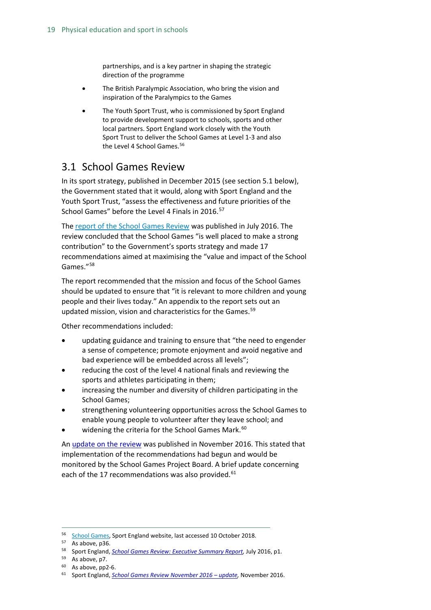partnerships, and is a key partner in shaping the strategic direction of the programme

- The British Paralympic Association, who bring the vision and inspiration of the Paralympics to the Games
- The Youth Sport Trust, who is commissioned by Sport England to provide development support to schools, sports and other local partners. Sport England work closely with the Youth Sport Trust to deliver the School Games at Level 1-3 and also the Level 4 School Games.<sup>[56](#page-18-1)</sup>

### <span id="page-18-0"></span>3.1 School Games Review

In its sport strategy, published in December 2015 (see section 5.1 below), the Government stated that it would, along with Sport England and the Youth Sport Trust, "assess the effectiveness and future priorities of the School Games" before the Level 4 Finals in 2016.<sup>[57](#page-18-2)</sup>

The [report of the School Games Review](https://www.sportengland.org/media/10902/school-games-review-exec-summary.pdf) was published in July 2016. The review concluded that the School Games "is well placed to make a strong contribution" to the Government's sports strategy and made 17 recommendations aimed at maximising the "value and impact of the School Games."[58](#page-18-3)

The report recommended that the mission and focus of the School Games should be updated to ensure that "it is relevant to more children and young people and their lives today." An appendix to the report sets out an updated mission, vision and characteristics for the Games.<sup>[59](#page-18-4)</sup>

Other recommendations included:

- updating guidance and training to ensure that "the need to engender a sense of competence; promote enjoyment and avoid negative and bad experience will be embedded across all levels";
- reducing the cost of the level 4 national finals and reviewing the sports and athletes participating in them;
- increasing the number and diversity of children participating in the School Games;
- strengthening volunteering opportunities across the School Games to enable young people to volunteer after they leave school; and
- widening the criteria for the School Games Mark.<sup>[60](#page-18-5)</sup>

A[n update on the review](https://www.sportengland.org/media/11409/school-games-review-november-2016-update.pdf) was published in November 2016. This stated that implementation of the recommendations had begun and would be monitored by the School Games Project Board. A brief update concerning each of the 17 recommendations was also provided.<sup>[61](#page-18-6)</sup>

<sup>&</sup>lt;sup>56</sup> [School Games,](https://www.sportengland.org/our-work/children-and-young-people/school-games/) Sport England website, last accessed 10 October 2018.

<span id="page-18-3"></span><span id="page-18-2"></span><span id="page-18-1"></span><sup>57</sup> As above, p36.

<sup>58</sup> Sport England, *[School Games Review: Executive Summary Report,](https://www.sportengland.org/media/10902/school-games-review-exec-summary.pdf)* July 2016, p1.

<span id="page-18-4"></span><sup>59</sup> As above, p7.

<span id="page-18-5"></span> $60$  As above, pp2-6.

<span id="page-18-6"></span><sup>61</sup> Sport England, *[School Games Review November 2016 –](https://www.sportengland.org/media/11409/school-games-review-november-2016-update.pdf) update,* November 2016.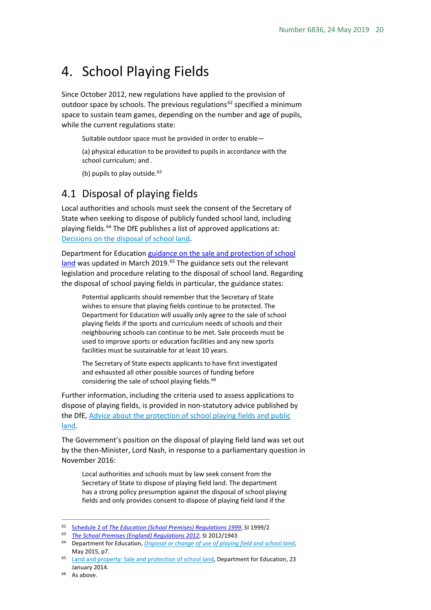## <span id="page-19-0"></span>4. School Playing Fields

Since October 2012, new regulations have applied to the provision of outdoor space by schools. The previous regulations<sup>[62](#page-19-2)</sup> specified a minimum space to sustain team games, depending on the number and age of pupils, while the current regulations state:

Suitable outdoor space must be provided in order to enable—

(a) physical education to be provided to pupils in accordance with the school curriculum; and .

(b) pupils to play outside. $63$ 

### <span id="page-19-1"></span>4.1 Disposal of playing fields

Local authorities and schools must seek the consent of the Secretary of State when seeking to dispose of publicly funded school land, including playing fields.<sup>[64](#page-19-4)</sup> The DfE publishes a list of approved applications at: [Decisions on the disposal of school land.](https://www.gov.uk/government/publications/school-land-decisions-about-disposals/decisions-on-the-disposal-of-school-land)

Department for Educatio[n guidance on the sale and protection of school](http://www.education.gov.uk/aboutdfe/executiveagencies/efa/schoolscapital/b00230781/land-and-property/sale-school-land-and-protection-of-school-playing-fields)  [land](http://www.education.gov.uk/aboutdfe/executiveagencies/efa/schoolscapital/b00230781/land-and-property/sale-school-land-and-protection-of-school-playing-fields) was updated in March 2019.<sup>[65](#page-19-5)</sup> The guidance sets out the relevant legislation and procedure relating to the disposal of school land. Regarding the disposal of school paying fields in particular, the guidance states:

Potential applicants should remember that the Secretary of State wishes to ensure that playing fields continue to be protected. The Department for Education will usually only agree to the sale of school playing fields if the sports and curriculum needs of schools and their neighbouring schools can continue to be met. Sale proceeds must be used to improve sports or education facilities and any new sports facilities must be sustainable for at least 10 years.

The Secretary of State expects applicants to have first investigated and exhausted all other possible sources of funding before considering the sale of school playing fields.<sup>[66](#page-19-6)</sup>

Further information, including the criteria used to assess applications to dispose of playing fields, is provided in non-statutory advice published by the DfE, [Advice about the protection of school playing fields and public](https://www.gov.uk/government/uploads/system/uploads/attachment_data/file/430705/Disposal_or_change_of_use_of_playing_field_and_school_land.pdf)  [land.](https://www.gov.uk/government/uploads/system/uploads/attachment_data/file/430705/Disposal_or_change_of_use_of_playing_field_and_school_land.pdf)

The Government's position on the disposal of playing field land was set out by the then-Minister, Lord Nash, in response to a parliamentary question in November 2016:

Local authorities and schools must by law seek consent from the Secretary of State to dispose of playing field land. The department has a strong policy presumption against the disposal of school playing fields and only provides consent to dispose of playing field land if the

<span id="page-19-2"></span> <sup>62</sup> Schedule 2 of *[The Education \(School Premises\) Regulations 1999](http://www.legislation.gov.uk/uksi/1999/2/schedule/2/made)*, SI 1999/2

<span id="page-19-4"></span><span id="page-19-3"></span><sup>&</sup>lt;sup>63</sup> *The School Premises (England) Regulations 2012,* SI 2012/1943<br><sup>64</sup> Department for Education[,](http://www.legislation.gov.uk/uksi/2012/1943/regulation/10/made) *[Disposal or change of use of playing field and school land](https://www.gov.uk/government/uploads/system/uploads/attachment_data/file/430705/Disposal_or_change_of_use_of_playing_field_and_school_land.pdf)*, May 2015, p7.

<span id="page-19-5"></span><sup>&</sup>lt;sup>65</sup> [Land and property: Sale and protection of school land,](https://www.gov.uk/school-land-and-property-protection-transfer-and-disposal) Department for Education, 23 January 2014.

<span id="page-19-6"></span><sup>&</sup>lt;sup>66</sup> As above.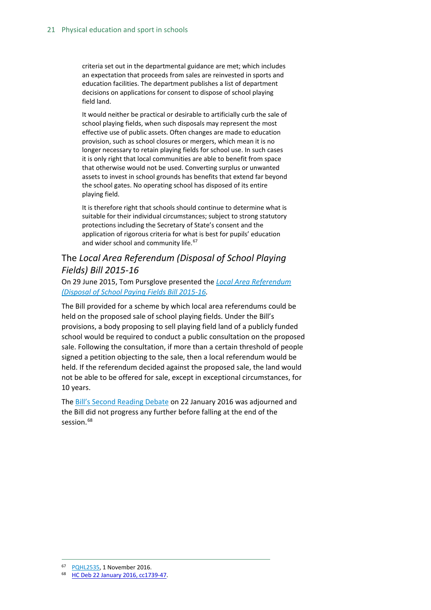criteria set out in the departmental guidance are met; which includes an expectation that proceeds from sales are reinvested in sports and education facilities. The department publishes a list of department decisions on applications for consent to dispose of school playing field land.

It would neither be practical or desirable to artificially curb the sale of school playing fields, when such disposals may represent the most effective use of public assets. Often changes are made to education provision, such as school closures or mergers, which mean it is no longer necessary to retain playing fields for school use. In such cases it is only right that local communities are able to benefit from space that otherwise would not be used. Converting surplus or unwanted assets to invest in school grounds has benefits that extend far beyond the school gates. No operating school has disposed of its entire playing field.

It is therefore right that schools should continue to determine what is suitable for their individual circumstances; subject to strong statutory protections including the Secretary of State's consent and the application of rigorous criteria for what is best for pupils' education and wider school and community life.<sup>[67](#page-20-1)</sup>

### <span id="page-20-0"></span>The *Local Area Referendum (Disposal of School Playing Fields) Bill 2015-16*

On 29 June 2015, Tom Pursglove presented the *[Local Area Referendum](http://www.publications.parliament.uk/pa/bills/cbill/2015-2016/0027/cbill_2015-20160027_en_1.htm)  [\(Disposal of School Paying Fields Bill 2015-16.](http://www.publications.parliament.uk/pa/bills/cbill/2015-2016/0027/cbill_2015-20160027_en_1.htm)* 

The Bill provided for a scheme by which local area referendums could be held on the proposed sale of school playing fields. Under the Bill's provisions, a body proposing to sell playing field land of a publicly funded school would be required to conduct a public consultation on the proposed sale. Following the consultation, if more than a certain threshold of people signed a petition objecting to the sale, then a local referendum would be held. If the referendum decided against the proposed sale, the land would not be able to be offered for sale, except in exceptional circumstances, for 10 years.

The [Bill's Second Reading Debate](https://hansard.parliament.uk/commons/2016-01-22/debates/16012222000003/LocalAreaReferendum(DisposalOfSchoolPlayingFields)Bill) on 22 January 2016 was adjourned and the Bill did not progress any further before falling at the end of the session.<sup>[68](#page-20-2)</sup>

<span id="page-20-2"></span><span id="page-20-1"></span> <sup>67</sup> [PQHL2535,](http://www.parliament.uk/written-questions-answers-statements/written-question/lords/2016-10-21/HL2535) 1 November 2016.

<sup>68</sup> [HC Deb 22 January 2016, cc1739-47.](https://hansard.parliament.uk/commons/2016-01-22/debates/16012222000003/LocalAreaReferendum(DisposalOfSchoolPlayingFields)Bill)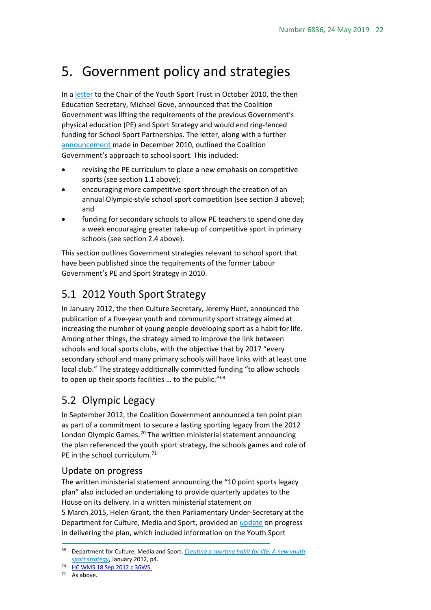# <span id="page-21-0"></span>5. Government policy and strategies

In a [letter](https://www.gov.uk/government/uploads/system/uploads/attachment_data/file/322261/SoS_letter_to_YST-october_2010.pdf) to the Chair of the Youth Sport Trust in October 2010, the then Education Secretary, Michael Gove, announced that the Coalition Government was lifting the requirements of the previous Government's physical education (PE) and Sport Strategy and would end ring-fenced funding for School Sport Partnerships. The letter, along with a further [announcement](https://www.gov.uk/government/news/new-approach-for-school-sports-decentralising-power-incentivising-competition-trusting-teachers) made in December 2010, outlined the Coalition Government's approach to school sport. This included:

- revising the PE curriculum to place a new emphasis on competitive sports (see section 1.1 above);
- encouraging more competitive sport through the creation of an annual Olympic-style school sport competition (see section 3 above); and
- funding for secondary schools to allow PE teachers to spend one day a week encouraging greater take-up of competitive sport in primary schools (see section 2.4 above).

This section outlines Government strategies relevant to school sport that have been published since the requirements of the former Labour Government's PE and Sport Strategy in 2010.

### <span id="page-21-1"></span>5.1 2012 Youth Sport Strategy

In January 2012, the then Culture Secretary, Jeremy Hunt, announced the publication of a five-year youth and community sport strategy aimed at increasing the number of young people developing sport as a habit for life. Among other things, the strategy aimed to improve the link between schools and local sports clubs, with the objective that by 2017 "every secondary school and many primary schools will have links with at least one local club." The strategy additionally committed funding "to allow schools to open up their sports facilities ... to the public."<sup>[69](#page-21-4)</sup>

### <span id="page-21-2"></span>5.2 Olympic Legacy

In September 2012, the Coalition Government announced a ten point plan as part of a commitment to secure a lasting sporting legacy from the 2012 London Olympic Games.<sup>[70](#page-21-5)</sup> The written ministerial statement announcing the plan referenced the youth sport strategy, the schools games and role of PE in the school curriculum.<sup>[71](#page-21-6)</sup>

### <span id="page-21-3"></span>Update on progress

The written ministerial statement announcing the "10 point sports legacy plan" also included an undertaking to provide quarterly updates to the House on its delivery. In a written ministerial statement on 5 March 2015, Helen Grant, the then Parliamentary Under-Secretary at the Department for Culture, Media and Sport, provided an [update](http://www.parliament.uk/written-questions-answers-statements/written-statement/Commons/2015-03-05/HCWS349) on progress in delivering the plan, which included information on the Youth Sport

<span id="page-21-6"></span> $71$  As above.

<span id="page-21-4"></span> <sup>69</sup> Department for Culture, Media and Sport, *[Creating a sporting habit for life: A new youth](https://www.gov.uk/government/uploads/system/uploads/attachment_data/file/78318/creating_a_sporting_habit_for_life.pdf)  [sport strategy](https://www.gov.uk/government/uploads/system/uploads/attachment_data/file/78318/creating_a_sporting_habit_for_life.pdf)*, January 2012, p4.

<span id="page-21-5"></span><sup>70</sup> [HC WMS 18 Sep 2012 c 36WS.](http://www.publications.parliament.uk/pa/cm201213/cmhansrd/cm120918/wmstext/120918m0001.htm#12091824000005)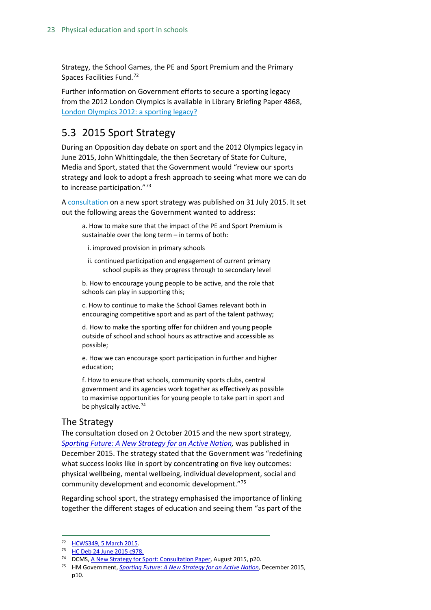Strategy, the School Games, the PE and Sport Premium and the Primary Spaces Facilities Fund.<sup>[72](#page-22-1)</sup>

Further information on Government efforts to secure a sporting legacy from the 2012 London Olympics is available in Library Briefing Paper 4868, [London Olympics 2012: a sporting legacy?](http://researchbriefings.files.parliament.uk/documents/SN04868/SN04868.pdf)

### <span id="page-22-0"></span>5.3 2015 Sport Strategy

During an Opposition day debate on sport and the 2012 Olympics legacy in June 2015, John Whittingdale, the then Secretary of State for Culture, Media and Sport, stated that the Government would "review our sports strategy and look to adopt a fresh approach to seeing what more we can do to increase participation."<sup>[73](#page-22-2)</sup>

A [consultation](https://www.gov.uk/government/uploads/system/uploads/attachment_data/file/450712/1619-F_Sports_Strategy_ACCESSIBLE.pdf) on a new sport strategy was published on 31 July 2015. It set out the following areas the Government wanted to address:

a. How to make sure that the impact of the PE and Sport Premium is sustainable over the long term – in terms of both:

i. improved provision in primary schools

ii. continued participation and engagement of current primary school pupils as they progress through to secondary level

b. How to encourage young people to be active, and the role that schools can play in supporting this;

c. How to continue to make the School Games relevant both in encouraging competitive sport and as part of the talent pathway;

d. How to make the sporting offer for children and young people outside of school and school hours as attractive and accessible as possible;

e. How we can encourage sport participation in further and higher education;

f. How to ensure that schools, community sports clubs, central government and its agencies work together as effectively as possible to maximise opportunities for young people to take part in sport and be physically active.<sup>[74](#page-22-3)</sup>

### The Strategy

The consultation closed on 2 October 2015 and the new sport strategy, *[Sporting Future: A New Strategy for an Active Nation,](https://www.gov.uk/government/uploads/system/uploads/attachment_data/file/486622/Sporting_Future_ACCESSIBLE.pdf)* was published in December 2015. The strategy stated that the Government was "redefining what success looks like in sport by concentrating on five key outcomes: physical wellbeing, mental wellbeing, individual development, social and community development and economic development."[75](#page-22-4)

Regarding school sport, the strategy emphasised the importance of linking together the different stages of education and seeing them "as part of the

<span id="page-22-1"></span> <sup>72</sup> [HCWS349, 5 March 2015.](http://www.parliament.uk/written-questions-answers-statements/written-statement/Commons/2015-03-05/HCWS349)

<span id="page-22-2"></span><sup>73</sup> [HC Deb 24 June 2015 c978.](http://www.publications.parliament.uk/pa/cm201516/cmhansrd/cm150624/debtext/150624-0003.htm#15062462000002)

<span id="page-22-3"></span><sup>&</sup>lt;sup>74</sup> DCMS[, A New Strategy for Sport: Consultation Paper,](https://www.gov.uk/government/uploads/system/uploads/attachment_data/file/450712/1619-F_Sports_Strategy_ACCESSIBLE.pdf) August 2015, p20.

<span id="page-22-4"></span><sup>75</sup> HM Government, *[Sporting Future: A New Strategy for an Active Nation,](https://www.gov.uk/government/uploads/system/uploads/attachment_data/file/486622/Sporting_Future_ACCESSIBLE.pdf)* December 2015, p10.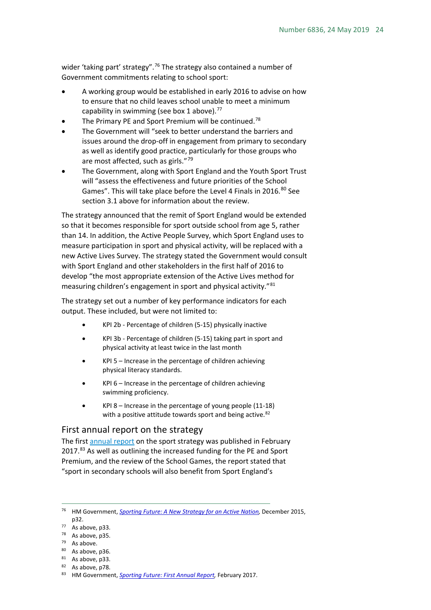wider 'taking part' strategy".<sup>[76](#page-23-1)</sup> The strategy also contained a number of Government commitments relating to school sport:

- A working group would be established in early 2016 to advise on how to ensure that no child leaves school unable to meet a minimum capability in swimming (see box 1 above). $77$
- The Primary PE and Sport Premium will be continued.<sup>[78](#page-23-3)</sup>
- The Government will "seek to better understand the barriers and issues around the drop-off in engagement from primary to secondary as well as identify good practice, particularly for those groups who are most affected, such as girls."<sup>[79](#page-23-4)</sup>
- The Government, along with Sport England and the Youth Sport Trust will "assess the effectiveness and future priorities of the School Games". This will take place before the Level 4 Finals in 2016.<sup>[80](#page-23-5)</sup> See section 3.1 above for information about the review.

The strategy announced that the remit of Sport England would be extended so that it becomes responsible for sport outside school from age 5, rather than 14. In addition, the Active People Survey, which Sport England uses to measure participation in sport and physical activity, will be replaced with a new Active Lives Survey. The strategy stated the Government would consult with Sport England and other stakeholders in the first half of 2016 to develop "the most appropriate extension of the Active Lives method for measuring children's engagement in sport and physical activity."<sup>[81](#page-23-6)</sup>

The strategy set out a number of key performance indicators for each output. These included, but were not limited to:

- KPI 2b Percentage of children (5-15) physically inactive
- KPI 3b Percentage of children (5-15) taking part in sport and physical activity at least twice in the last month
- $KPI$  5 Increase in the percentage of children achieving physical literacy standards.
- $KPI 6$  Increase in the percentage of children achieving swimming proficiency.
- $KPI 8$  Increase in the percentage of young people (11-18) with a positive attitude towards sport and being active.<sup>[82](#page-23-7)</sup>

#### <span id="page-23-0"></span>First annual report on the strategy

The first [annual report](https://www.gov.uk/government/uploads/system/uploads/attachment_data/file/590578/Sporting_Future_-_first_annual_report_final.pdf) on the sport strategy was published in February 2017.<sup>[83](#page-23-8)</sup> As well as outlining the increased funding for the PE and Sport Premium, and the review of the School Games, the report stated that "sport in secondary schools will also benefit from Sport England's

<span id="page-23-1"></span> <sup>76</sup> HM Government, *[Sporting Future: A New Strategy for an Active Nation,](https://www.gov.uk/government/uploads/system/uploads/attachment_data/file/486622/Sporting_Future_ACCESSIBLE.pdf)* December 2015, p32.

<span id="page-23-2"></span><sup>77</sup> As above, p33.

<span id="page-23-3"></span><sup>78</sup> As above, p35.

<span id="page-23-4"></span><sup>79</sup> As above.

<span id="page-23-5"></span> $80$  As above, p36.

<span id="page-23-6"></span> $81$  As above, p33.

<span id="page-23-7"></span> $82$  As above, p78.

<span id="page-23-8"></span><sup>83</sup> HM Government, *[Sporting Future: First Annual Report,](https://www.gov.uk/government/uploads/system/uploads/attachment_data/file/590578/Sporting_Future_-_first_annual_report_final.pdf)* February 2017.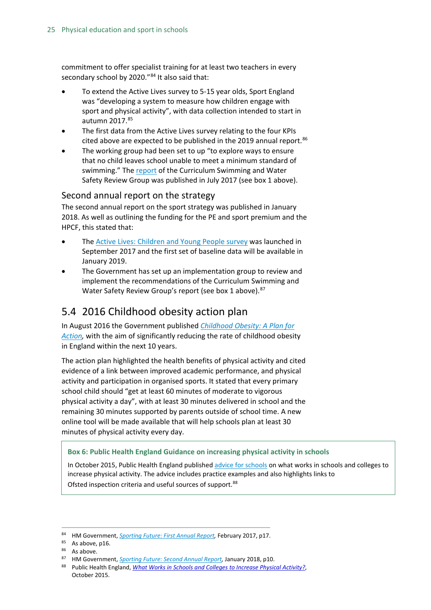commitment to offer specialist training for at least two teachers in every secondary school by 2020."[84](#page-24-2) It also said that:

- To extend the Active Lives survey to 5-15 year olds, Sport England was "developing a system to measure how children engage with sport and physical activity", with data collection intended to start in autumn 2017.[85](#page-24-3)
- The first data from the Active Lives survey relating to the four KPIs cited above are expected to be published in the 2019 annual report.<sup>[86](#page-24-4)</sup>
- The working group had been set to up "to explore ways to ensure that no child leaves school unable to meet a minimum standard of swimming." The [report](http://www.swimming.org/swimengland/curriculum-swimming-report-launch/) of the Curriculum Swimming and Water Safety Review Group was published in July 2017 (see box 1 above).

### <span id="page-24-0"></span>Second annual report on the strategy

The second annual report on the sport strategy was published in January 2018. As well as outlining the funding for the PE and sport premium and the HPCF, this stated that:

- Th[e Active Lives: Children and Young People survey](https://www.sportengland.org/research/active-lives-children-and-young-people/) was launched in September 2017 and the first set of baseline data will be available in January 2019.
- The Government has set up an implementation group to review and implement the recommendations of the Curriculum Swimming and Water Safety Review Group's report (see box 1 above). [87](#page-24-5)

### <span id="page-24-1"></span>5.4 2016 Childhood obesity action plan

In August 2016 the Government published *[Childhood Obesity: A Plan for](https://www.gov.uk/government/publications/childhood-obesity-a-plan-for-action)*  [Action,](https://www.gov.uk/government/publications/childhood-obesity-a-plan-for-action) with the aim of significantly reducing the rate of childhood obesity in England within the next 10 years.

The action plan highlighted the health benefits of physical activity and cited evidence of a link between improved academic performance, and physical activity and participation in organised sports. It stated that every primary school child should "get at least 60 minutes of moderate to vigorous physical activity a day", with at least 30 minutes delivered in school and the remaining 30 minutes supported by parents outside of school time. A new online tool will be made available that will help schools plan at least 30 minutes of physical activity every day.

#### **Box 6: Public Health England Guidance on increasing physical activity in schools**

In October 2015, Public Health England publishe[d advice for schools](https://www.gov.uk/government/uploads/system/uploads/attachment_data/file/469703/What_works_in_schools_and_colleges_to_increas_physical_activity.pdf) on what works in schools and colleges to increase physical activity. The advice includes practice examples and also highlights links to Ofsted inspection criteria and useful sources of support.<sup>[88](#page-24-6)</sup>

 <sup>84</sup> HM Government, *[Sporting Future: First Annual Report,](https://www.gov.uk/government/uploads/system/uploads/attachment_data/file/590578/Sporting_Future_-_first_annual_report_final.pdf)* February 2017, p17.

<span id="page-24-4"></span><span id="page-24-3"></span><span id="page-24-2"></span><sup>85</sup> As above, p16.

<sup>86</sup> As above.

<span id="page-24-5"></span><sup>87</sup> HM Government, *[Sporting Future: Second Annual Report,](https://assets.publishing.service.gov.uk/government/uploads/system/uploads/attachment_data/file/677557/2018_Second_annual_report_to_parliament_on_Sporting_Future.pdf)* January 2018, p10.

<span id="page-24-6"></span><sup>88</sup> Public Health England, *[What Works in Schools and Colleges to Increase Physical Activity?](https://www.gov.uk/government/uploads/system/uploads/attachment_data/file/469703/What_works_in_schools_and_colleges_to_increas_physical_activity.pdf)*, October 2015.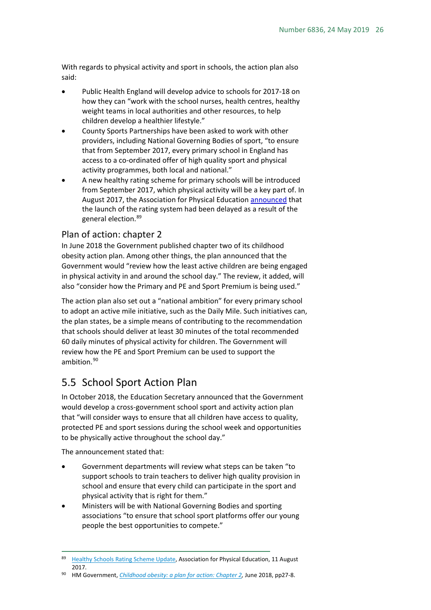With regards to physical activity and sport in schools, the action plan also said:

- Public Health England will develop advice to schools for 2017-18 on how they can "work with the school nurses, health centres, healthy weight teams in local authorities and other resources, to help children develop a healthier lifestyle."
- County Sports Partnerships have been asked to work with other providers, including National Governing Bodies of sport, "to ensure that from September 2017, every primary school in England has access to a co-ordinated offer of high quality sport and physical activity programmes, both local and national."
- A new healthy rating scheme for primary schools will be introduced from September 2017, which physical activity will be a key part of. In August 2017, the Association for Physical Education [announced](http://www.afpe.org.uk/physical-education/healthy_schools_rating_scheme_update/) that the launch of the rating system had been delayed as a result of the general election.[89](#page-25-2)

### <span id="page-25-0"></span>Plan of action: chapter 2

In June 2018 the Government published chapter two of its childhood obesity action plan. Among other things, the plan announced that the Government would "review how the least active children are being engaged in physical activity in and around the school day." The review, it added, will also "consider how the Primary and PE and Sport Premium is being used."

The action plan also set out a "national ambition" for every primary school to adopt an active mile initiative, such as the Daily Mile. Such initiatives can, the plan states, be a simple means of contributing to the recommendation that schools should deliver at least 30 minutes of the total recommended 60 daily minutes of physical activity for children. The Government will review how the PE and Sport Premium can be used to support the ambition.<sup>[90](#page-25-3)</sup>

### <span id="page-25-1"></span>5.5 School Sport Action Plan

In October 2018, the Education Secretary announced that the Government would develop a cross-government school sport and activity action plan that "will consider ways to ensure that all children have access to quality, protected PE and sport sessions during the school week and opportunities to be physically active throughout the school day."

The announcement stated that:

- Government departments will review what steps can be taken "to support schools to train teachers to deliver high quality provision in school and ensure that every child can participate in the sport and physical activity that is right for them."
- Ministers will be with National Governing Bodies and sporting associations "to ensure that school sport platforms offer our young people the best opportunities to compete."

<span id="page-25-2"></span><sup>89</sup> [Healthy Schools Rating Scheme Update,](http://www.afpe.org.uk/physical-education/healthy_schools_rating_scheme_update/) Association for Physical Education, 11 August 2017.

<span id="page-25-3"></span><sup>90</sup> HM Government, *[Childhood obesity: a plan for action: Chapter 2,](https://assets.publishing.service.gov.uk/government/uploads/system/uploads/attachment_data/file/718903/childhood-obesity-a-plan-for-action-chapter-2.pdf)* June 2018, pp27-8.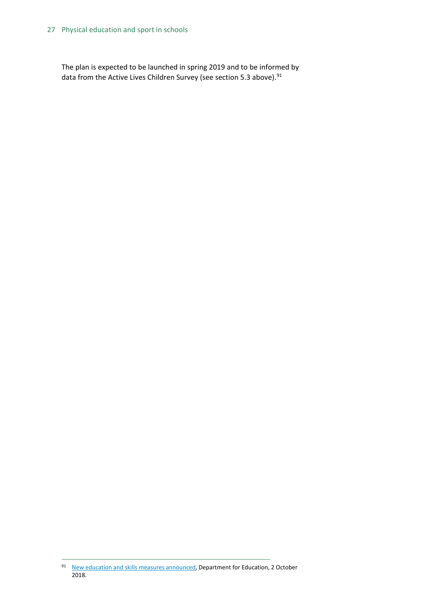The plan is expected to be launched in spring 2019 and to be informed by data from the Active Lives Children Survey (see section 5.3 above).<sup>[91](#page-26-0)</sup>

<span id="page-26-0"></span><sup>91</sup> [New education and skills measures announced,](https://www.gov.uk/government/news/new-education-and-skills-measures-announced--2) Department for Education, 2 October 2018.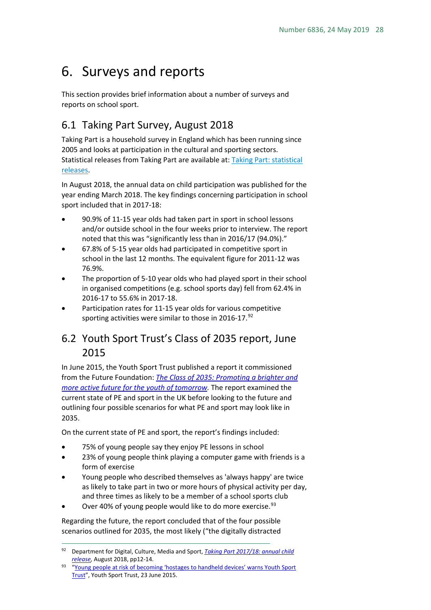# <span id="page-27-0"></span>6. Surveys and reports

This section provides brief information about a number of surveys and reports on school sport.

### <span id="page-27-1"></span>6.1 Taking Part Survey, August 2018

Taking Part is a household survey in England which has been running since 2005 and looks at participation in the cultural and sporting sectors. Statistical releases from Taking Part are available at: [Taking Part: statistical](https://www.gov.uk/government/collections/sat--2)  [releases.](https://www.gov.uk/government/collections/sat--2)

In August 2018, the annual data on child participation was published for the year ending March 2018. The key findings concerning participation in school sport included that in 2017-18:

- 90.9% of 11-15 year olds had taken part in sport in school lessons and/or outside school in the four weeks prior to interview. The report noted that this was "significantly less than in 2016/17 (94.0%)."
- 67.8% of 5-15 year olds had participated in competitive sport in school in the last 12 months. The equivalent figure for 2011-12 was 76.9%.
- The proportion of 5-10 year olds who had played sport in their school in organised competitions (e.g. school sports day) fell from 62.4% in 2016-17 to 55.6% in 2017-18.
- Participation rates for 11-15 year olds for various competitive sporting activities were similar to those in 2016-17. $92$

### <span id="page-27-2"></span>6.2 Youth Sport Trust's Class of 2035 report, June 2015

In June 2015, the Youth Sport Trust published a report it commissioned from the Future Foundation: *The Class of 2035: [Promoting a brighter and](https://www.youthsporttrust.org/future-foundation-class-2035)  [more active future for the youth of tomorrow.](https://www.youthsporttrust.org/future-foundation-class-2035)* The report examined the current state of PE and sport in the UK before looking to the future and outlining four possible scenarios for what PE and sport may look like in 2035.

On the current state of PE and sport, the report's findings included:

- 75% of young people say they enjoy PE lessons in school
- 23% of young people think playing a computer game with friends is a form of exercise
- Young people who described themselves as 'always happy' are twice as likely to take part in two or more hours of physical activity per day, and three times as likely to be a member of a school sports club
- Over 40% of young people would like to do more exercise.<sup>[93](#page-27-4)</sup>

Regarding the future, the report concluded that of the four possible scenarios outlined for 2035, the most likely ("the digitally distracted

<span id="page-27-3"></span> <sup>92</sup> Department for Digital, Culture, Media and Sport, *[Taking Part 2017/18: annual child](https://www.gov.uk/government/statistics/taking-part-201718-annual-child-release)  [release,](https://www.gov.uk/government/statistics/taking-part-201718-annual-child-release)* August 2018, pp12-14.

<span id="page-27-4"></span><sup>93 &</sup>quot;Young people at risk of becoming 'hostages to handheld devices' warns Youth Sport [Trust"](http://www.youthsporttrust.org/news-media/news/2015/june/young-people-at-risk-of-becoming-%E2%80%98hostages-to-handheld-devices%E2%80%99-warns-youth-sport-trust.aspx), Youth Sport Trust, 23 June 2015.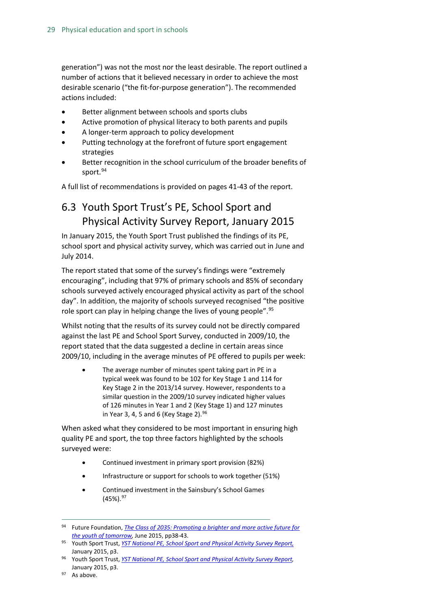generation") was not the most nor the least desirable. The report outlined a number of actions that it believed necessary in order to achieve the most desirable scenario ("the fit-for-purpose generation"). The recommended actions included:

- Better alignment between schools and sports clubs
- Active promotion of physical literacy to both parents and pupils
- A longer-term approach to policy development
- Putting technology at the forefront of future sport engagement strategies
- Better recognition in the school curriculum of the broader benefits of sport.<sup>[94](#page-28-1)</sup>

A full list of recommendations is provided on pages 41-43 of the report.

### <span id="page-28-0"></span>6.3 Youth Sport Trust's PE, School Sport and Physical Activity Survey Report, January 2015

In January 2015, the Youth Sport Trust published the findings of its PE, school sport and physical activity survey, which was carried out in June and July 2014.

The report stated that some of the survey's findings were "extremely encouraging", including that 97% of primary schools and 85% of secondary schools surveyed actively encouraged physical activity as part of the school day". In addition, the majority of schools surveyed recognised "the positive role sport can play in helping change the lives of young people".<sup>[95](#page-28-2)</sup>

Whilst noting that the results of its survey could not be directly compared against the last PE and School Sport Survey, conducted in 2009/10, the report stated that the data suggested a decline in certain areas since 2009/10, including in the average minutes of PE offered to pupils per week:

The average number of minutes spent taking part in PE in a typical week was found to be 102 for Key Stage 1 and 114 for Key Stage 2 in the 2013/14 survey. However, respondents to a similar question in the 2009/10 survey indicated higher values of 126 minutes in Year 1 and 2 (Key Stage 1) and 127 minutes in Year 3, 4, 5 and 6 (Key Stage 2).  $96$ 

When asked what they considered to be most important in ensuring high quality PE and sport, the top three factors highlighted by the schools surveyed were:

- Continued investment in primary sport provision (82%)
- Infrastructure or support for schools to work together (51%)
- Continued investment in the Sainsbury's School Games  $(45\%)$ .  $97$

<span id="page-28-1"></span> <sup>94</sup> Future Foundation, *[The Class of 2035: Promoting a brighter and more active future for](https://www.youthsporttrust.org/future-foundation-class-2035)  [the youth of tomorrow,](https://www.youthsporttrust.org/future-foundation-class-2035)* June 2015, pp38-43.

<span id="page-28-2"></span><sup>95</sup> Youth Sport Trust, *[YST National PE, School Sport and Physical Activity Survey Report,](http://www.sportsthinktank.com/uploads/yst-(2015)-school-sport-and-pe-survey-report-19.pdf)* January 2015, p3.

<span id="page-28-3"></span><sup>96</sup> Youth Sport Trust, *[YST National PE, School Sport and Physical Activity Survey Report,](http://www.sportsthinktank.com/uploads/yst-(2015)-school-sport-and-pe-survey-report-19.pdf)*  January 2015, p3.

<span id="page-28-4"></span><sup>&</sup>lt;sup>97</sup> As above.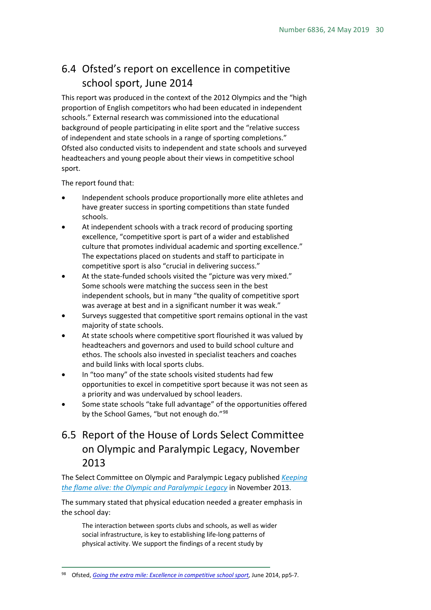### <span id="page-29-0"></span>6.4 Ofsted's report on excellence in competitive school sport, June 2014

This report was produced in the context of the 2012 Olympics and the "high proportion of English competitors who had been educated in independent schools." External research was commissioned into the educational background of people participating in elite sport and the "relative success of independent and state schools in a range of sporting completions." Ofsted also conducted visits to independent and state schools and surveyed headteachers and young people about their views in competitive school sport.

The report found that:

- Independent schools produce proportionally more elite athletes and have greater success in sporting competitions than state funded schools.
- At independent schools with a track record of producing sporting excellence, "competitive sport is part of a wider and established culture that promotes individual academic and sporting excellence." The expectations placed on students and staff to participate in competitive sport is also "crucial in delivering success."
- At the state-funded schools visited the "picture was very mixed." Some schools were matching the success seen in the best independent schools, but in many "the quality of competitive sport was average at best and in a significant number it was weak."
- Surveys suggested that competitive sport remains optional in the vast majority of state schools.
- At state schools where competitive sport flourished it was valued by headteachers and governors and used to build school culture and ethos. The schools also invested in specialist teachers and coaches and build links with local sports clubs.
- In "too many" of the state schools visited students had few opportunities to excel in competitive sport because it was not seen as a priority and was undervalued by school leaders.
- Some state schools "take full advantage" of the opportunities offered by the School Games, "but not enough do."<sup>[98](#page-29-2)</sup>

### <span id="page-29-1"></span>6.5 Report of the House of Lords Select Committee on Olympic and Paralympic Legacy, November 2013

The Select Committee on Olympic and Paralympic Legacy published *[Keeping](http://www.publications.parliament.uk/pa/ld201314/ldselect/ldolympic/78/78.pdf)  [the flame alive: the Olympic and Paralympic Legacy](http://www.publications.parliament.uk/pa/ld201314/ldselect/ldolympic/78/78.pdf)* in November 2013.

The summary stated that physical education needed a greater emphasis in the school day:

The interaction between sports clubs and schools, as well as wider social infrastructure, is key to establishing life-long patterns of physical activity. We support the findings of a recent study by

<span id="page-29-2"></span> <sup>98</sup> Ofsted, *[Going the extra mile: Excellence in competitive school sport,](https://www.gov.uk/government/publications/going-the-extra-mile-excellence-in-competitive-school-sport)* June 2014, pp5-7.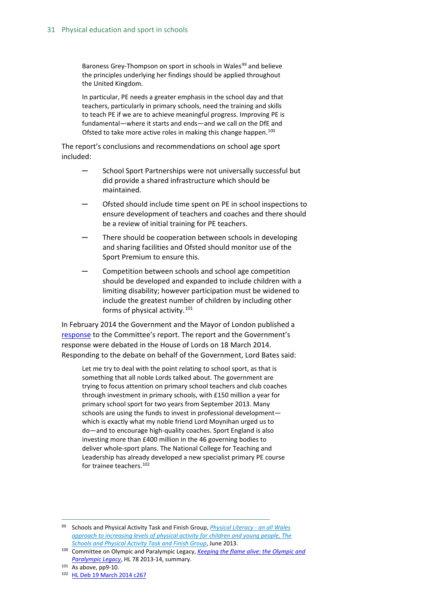Baroness Grey-Thompson on sport in schools in Wales<sup>[99](#page-30-0)</sup> and believe the principles underlying her findings should be applied throughout the United Kingdom.

In particular, PE needs a greater emphasis in the school day and that teachers, particularly in primary schools, need the training and skills to teach PE if we are to achieve meaningful progress. Improving PE is fundamental—where it starts and ends—and we call on the DfE and Ofsted to take more active roles in making this change happen.<sup>[100](#page-30-1)</sup>

The report's conclusions and recommendations on school age sport included:

- School Sport Partnerships were not universally successful but did provide a shared infrastructure which should be maintained.
- ─ Ofsted should include time spent on PE in school inspections to ensure development of teachers and coaches and there should be a review of initial training for PE teachers.
- There should be cooperation between schools in developing and sharing facilities and Ofsted should monitor use of the Sport Premium to ensure this.
- Competition between schools and school age competition should be developed and expanded to include children with a limiting disability; however participation must be widened to include the greatest number of children by including other forms of physical activity.<sup>[101](#page-30-2)</sup>

In February 2014 the Government and the Mayor of London published a [response](http://www.parliament.uk/documents/lords-committees/olympic-paralympic-legacy/Govt-response-legacy-report.pdf) to the Committee's report. The report and the Government's response were debated in the House of Lords on 18 March 2014. Responding to the debate on behalf of the Government, Lord Bates said:

Let me try to deal with the point relating to school sport, as that is something that all noble Lords talked about. The government are trying to focus attention on primary school teachers and club coaches through investment in primary schools, with £150 million a year for primary school sport for two years from September 2013. Many schools are using the funds to invest in professional development which is exactly what my noble friend Lord Moynihan urged us to do—and to encourage high-quality coaches. Sport England is also investing more than £400 million in the 46 governing bodies to deliver whole-sport plans. The National College for Teaching and Leadership has already developed a new specialist primary PE course for trainee teachers.<sup>[102](#page-30-3)</sup>

<span id="page-30-0"></span> <sup>99</sup> Schools and Physical Activity Task and Finish Group, *[Physical Literacy -](http://wales.gov.uk/docs/dcells/publications/130621-sports-and-physical-activity-review-en.pdf) an all Wales [approach to increasing levels of physical activity for children and young people, The](http://wales.gov.uk/docs/dcells/publications/130621-sports-and-physical-activity-review-en.pdf)  [Schools and Physical Activity Task and Finish Group](http://wales.gov.uk/docs/dcells/publications/130621-sports-and-physical-activity-review-en.pdf)*, June 2013.

<span id="page-30-1"></span><sup>100</sup> Committee on Olympic and Paralympic Legacy, *[Keeping the flame alive: the Olympic and](http://www.publications.parliament.uk/pa/ld201314/ldselect/ldolympic/78/78.pdf)  [Paralympic Legacy](http://www.publications.parliament.uk/pa/ld201314/ldselect/ldolympic/78/78.pdf)*, HL 78 2013-14, summary.

<span id="page-30-2"></span> $101$  As above, pp9-10.

<span id="page-30-3"></span><sup>102</sup> [HL Deb 19 March 2014 c267](http://www.publications.parliament.uk/pa/ld201314/ldhansrd/text/140319-0003.htm)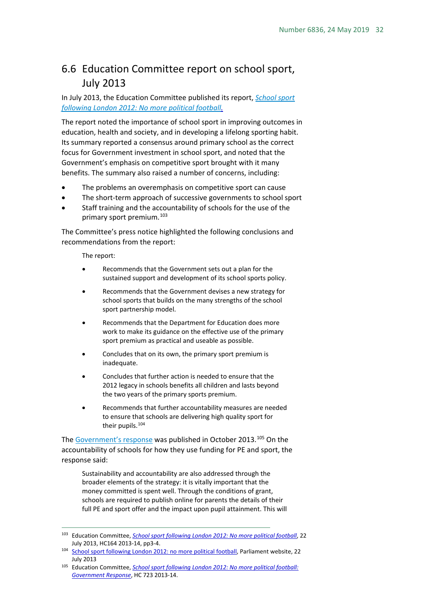### <span id="page-31-0"></span>6.6 Education Committee report on school sport, July 2013

#### In July 2013, the Education Committee published its report, *[School sport](http://www.publications.parliament.uk/pa/cm201314/cmselect/cmeduc/164/164.pdf)  [following London 2012: No more political football.](http://www.publications.parliament.uk/pa/cm201314/cmselect/cmeduc/164/164.pdf)*

The report noted the importance of school sport in improving outcomes in education, health and society, and in developing a lifelong sporting habit. Its summary reported a consensus around primary school as the correct focus for Government investment in school sport, and noted that the Government's emphasis on competitive sport brought with it many benefits. The summary also raised a number of concerns, including:

- The problems an overemphasis on competitive sport can cause
- The short-term approach of successive governments to school sport
- Staff training and the accountability of schools for the use of the primary sport premium.<sup>[103](#page-31-1)</sup>

The Committee's press notice highlighted the following conclusions and recommendations from the report:

The report:

- Recommends that the Government sets out a plan for the sustained support and development of its school sports policy.
- Recommends that the Government devises a new strategy for school sports that builds on the many strengths of the school sport partnership model.
- Recommends that the Department for Education does more work to make its guidance on the effective use of the primary sport premium as practical and useable as possible.
- Concludes that on its own, the primary sport premium is inadequate.
- Concludes that further action is needed to ensure that the 2012 legacy in schools benefits all children and lasts beyond the two years of the primary sports premium.
- Recommends that further accountability measures are needed to ensure that schools are delivering high quality sport for their pupils.<sup>[104](#page-31-2)</sup>

The [Government's](http://www.publications.parliament.uk/pa/cm201314/cmselect/cmeduc/723/723.pdf) response was published in October 2013.<sup>[105](#page-31-3)</sup> On the accountability of schools for how they use funding for PE and sport, the response said:

Sustainability and accountability are also addressed through the broader elements of the strategy: it is vitally important that the money committed is spent well. Through the conditions of grant, schools are required to publish online for parents the details of their full PE and sport offer and the impact upon pupil attainment. This will

<span id="page-31-1"></span> <sup>103</sup> Education Committee, *[School sport following London 2012: No more political football](http://www.publications.parliament.uk/pa/cm201314/cmselect/cmeduc/164/164.pdf)*, 22 July 2013, HC164 2013-14, pp3-4.

<span id="page-31-2"></span><sup>104</sup> [School sport following London 2012: no more political football,](http://www.parliament.uk/business/committees/committees-a-z/commons-select/education-committee/news/school-sports-substantive/) Parliament website, 22 July 2013

<span id="page-31-3"></span><sup>105</sup> Education Committee, *[School sport following London 2012: No more political football:](http://www.publications.parliament.uk/pa/cm201314/cmselect/cmeduc/723/723.pdf)  [Government Response](http://www.publications.parliament.uk/pa/cm201314/cmselect/cmeduc/723/723.pdf)*, HC 723 2013-14.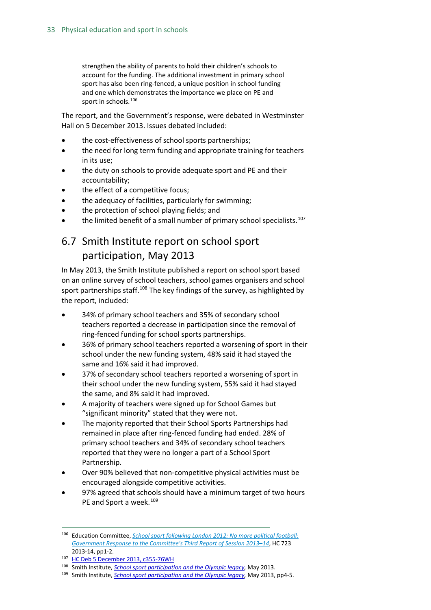strengthen the ability of parents to hold their children's schools to account for the funding. The additional investment in primary school sport has also been ring-fenced, a unique position in school funding and one which demonstrates the importance we place on PE and sport in schools.<sup>[106](#page-32-1)</sup>

The report, and the Government's response, were debated in Westminster Hall on 5 December 2013. Issues debated included:

- the cost-effectiveness of school sports partnerships:
- the need for long term funding and appropriate training for teachers in its use;
- the duty on schools to provide adequate sport and PE and their accountability;
- the effect of a competitive focus;
- the adequacy of facilities, particularly for swimming;
- the protection of school playing fields; and
- the limited benefit of a small number of primary school specialists.<sup>[107](#page-32-2)</sup>

### <span id="page-32-0"></span>6.7 Smith Institute report on school sport participation, May 2013

In May 2013, the Smith Institute published a report on school sport based on an online survey of school teachers, school games organisers and school sport partnerships staff.<sup>[108](#page-32-3)</sup> The key findings of the survey, as highlighted by the report, included:

- 34% of primary school teachers and 35% of secondary school teachers reported a decrease in participation since the removal of ring-fenced funding for school sports partnerships.
- 36% of primary school teachers reported a worsening of sport in their school under the new funding system, 48% said it had stayed the same and 16% said it had improved.
- 37% of secondary school teachers reported a worsening of sport in their school under the new funding system, 55% said it had stayed the same, and 8% said it had improved.
- A majority of teachers were signed up for School Games but "significant minority" stated that they were not.
- The majority reported that their School Sports Partnerships had remained in place after ring-fenced funding had ended. 28% of primary school teachers and 34% of secondary school teachers reported that they were no longer a part of a School Sport Partnership.
- Over 90% believed that non-competitive physical activities must be encouraged alongside competitive activities.
- 97% agreed that schools should have a minimum target of two hours PE and Sport a week.<sup>[109](#page-32-4)</sup>

<span id="page-32-1"></span> <sup>106</sup> Education Committee, *[School sport following London 2012: No more political football:](http://www.publications.parliament.uk/pa/cm201314/cmselect/cmeduc/723/723.pdf)  [Government Response to the Committee's Third Report of Session 2013–14](http://www.publications.parliament.uk/pa/cm201314/cmselect/cmeduc/723/723.pdf)*, HC 723 2013-14, pp1-2.

<span id="page-32-2"></span><sup>107</sup> [HC Deb 5 December 2013, c355-76WH](http://www.publications.parliament.uk/pa/cm201314/cmhansrd/cm131205/halltext/131205h0001.htm#13120570000001)

<span id="page-32-3"></span><sup>&</sup>lt;sup>108</sup> Smith Institute, *School sport participation and the Olympic legacy*, May 2013.<br><sup>109</sup> Smith Institute, *School sport participation and the Olympic legacy*, May 2013, pp4-5.

<span id="page-32-4"></span>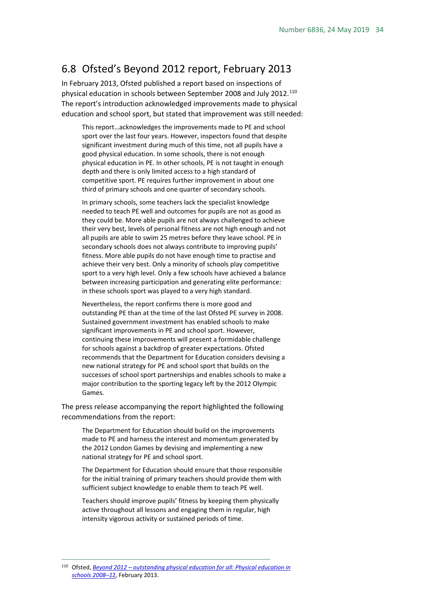### <span id="page-33-0"></span>6.8 Ofsted's Beyond 2012 report, February 2013

In February 2013, Ofsted published a report based on inspections of physical education in schools between September 2008 and July 2012.<sup>[110](#page-33-1)</sup> The report's introduction acknowledged improvements made to physical education and school sport, but stated that improvement was still needed:

This report…acknowledges the improvements made to PE and school sport over the last four years. However, inspectors found that despite significant investment during much of this time, not all pupils have a good physical education. In some schools, there is not enough physical education in PE. In other schools, PE is not taught in enough depth and there is only limited access to a high standard of competitive sport. PE requires further improvement in about one third of primary schools and one quarter of secondary schools.

In primary schools, some teachers lack the specialist knowledge needed to teach PE well and outcomes for pupils are not as good as they could be. More able pupils are not always challenged to achieve their very best, levels of personal fitness are not high enough and not all pupils are able to swim 25 metres before they leave school. PE in secondary schools does not always contribute to improving pupils' fitness. More able pupils do not have enough time to practise and achieve their very best. Only a minority of schools play competitive sport to a very high level. Only a few schools have achieved a balance between increasing participation and generating elite performance: in these schools sport was played to a very high standard.

Nevertheless, the report confirms there is more good and outstanding PE than at the time of the last Ofsted PE survey in 2008. Sustained government investment has enabled schools to make significant improvements in PE and school sport. However, continuing these improvements will present a formidable challenge for schools against a backdrop of greater expectations. Ofsted recommends that the Department for Education considers devising a new national strategy for PE and school sport that builds on the successes of school sport partnerships and enables schools to make a major contribution to the sporting legacy left by the 2012 Olympic Games.

The press release accompanying the report highlighted the following recommendations from the report:

The Department for Education should build on the improvements made to PE and harness the interest and momentum generated by the 2012 London Games by devising and implementing a new national strategy for PE and school sport.

The Department for Education should ensure that those responsible for the initial training of primary teachers should provide them with sufficient subject knowledge to enable them to teach PE well.

Teachers should improve pupils' fitness by keeping them physically active throughout all lessons and engaging them in regular, high intensity vigorous activity or sustained periods of time.

<span id="page-33-1"></span> <sup>110</sup> Ofsted, *Beyond 2012 – [outstanding physical education for all: Physical education in](http://www.ofsted.gov.uk/resources/beyond-2012-outstanding-physical-education-for-all)  [schools 2008–1](http://www.ofsted.gov.uk/resources/beyond-2012-outstanding-physical-education-for-all)*2, February 2013.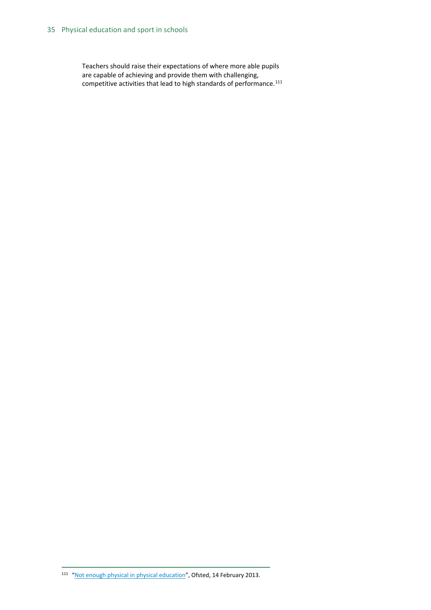Teachers should raise their expectations of where more able pupils are capable of achieving and provide them with challenging, competitive activities that lead to high standards of performance. $^{111}$  $^{111}$  $^{111}$ 

<span id="page-34-0"></span><sup>111</sup> ["Not enough physical in physical education"](https://www.gov.uk/government/news/not-enough-physical-in-physical-education), Ofsted, 14 February 2013.